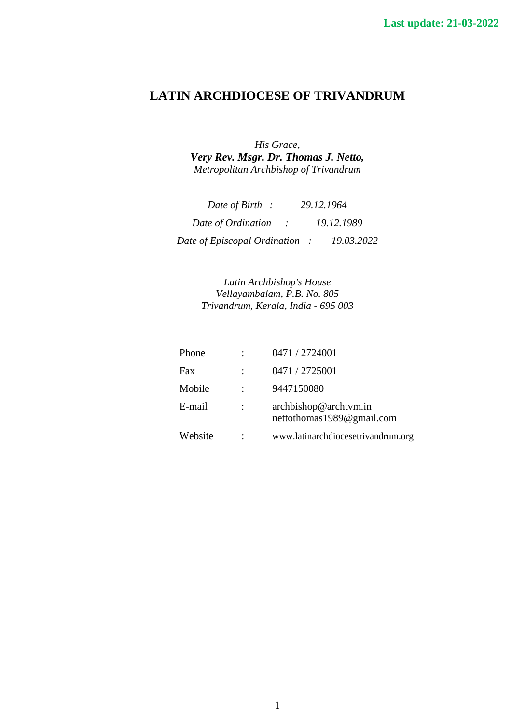# **LATIN ARCHDIOCESE OF TRIVANDRUM**

*His Grace, Very Rev. Msgr. Dr. Thomas J. Netto, Metropolitan Archbishop of Trivandrum* 

| Date of Birth :                      | 29.12.1964 |
|--------------------------------------|------------|
| Date of Ordination<br>$\mathbb{R}^n$ | 19.12.1989 |
| Date of Episcopal Ordination:        | 19.03.2022 |

*Latin Archbishop's House Vellayambalam, P.B. No. 805 Trivandrum, Kerala, India - 695 003* 

| Phone   | 0471 / 2724001                                     |
|---------|----------------------------------------------------|
| Fax     | 0471 / 2725001                                     |
| Mobile  | 9447150080                                         |
| E-mail  | archbishop@archtvm.in<br>nettothomas1989@gmail.com |
| Website | www.latinarchdiocesetrivandrum.org                 |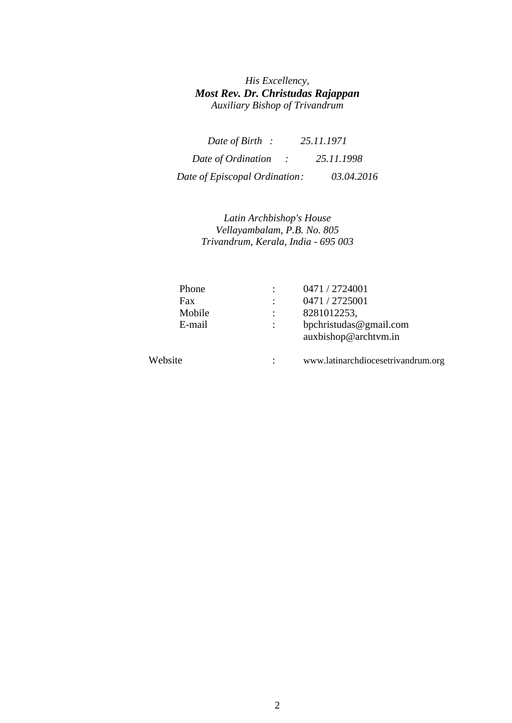### *His Excellency, Most Rev. Dr. Christudas Rajappan Auxiliary Bishop of Trivandrum*

| Date of Birth :               | 25.11.1971 |
|-------------------------------|------------|
| Date of Ordination            | 25.11.1998 |
| Date of Episcopal Ordination: | 03.04.2016 |

### *Latin Archbishop's House Vellayambalam, P.B. No. 805 Trivandrum, Kerala, India - 695 003*

| Phone   | 0471 / 2724001                                 |
|---------|------------------------------------------------|
| Fax     | 0471 / 2725001                                 |
| Mobile  | 8281012253,                                    |
| E-mail  | bpchristudas@gmail.com<br>auxbishop@archtym.in |
| Website | www.latinarchdiocesetrivandrum.org             |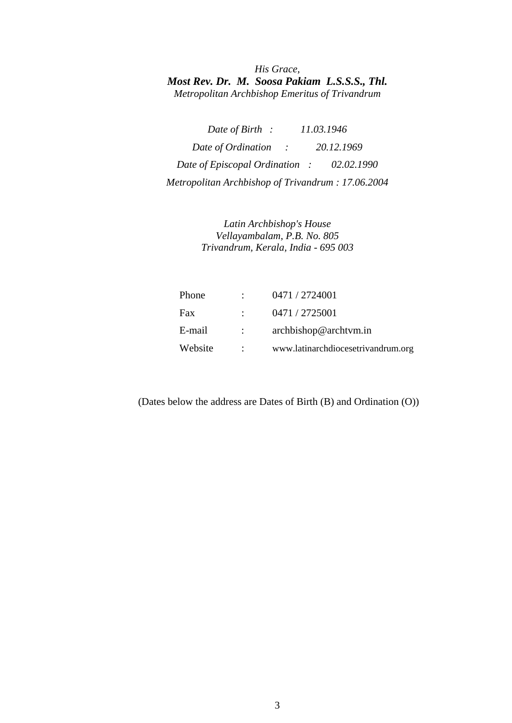*His Grace, Most Rev. Dr. M. Soosa Pakiam L.S.S.S., Thl. Metropolitan Archbishop Emeritus of Trivandrum* 

*Date of Birth : 11.03.1946 Date of Ordination : 20.12.1969 Date of Episcopal Ordination : 02.02.1990 Metropolitan Archbishop of Trivandrum : 17.06.2004* 

> *Latin Archbishop's House Vellayambalam, P.B. No. 805 Trivandrum, Kerala, India - 695 003*

| Phone   |                | 0471 / 2724001                     |
|---------|----------------|------------------------------------|
| Fax     |                | 0471 / 2725001                     |
| E-mail  | $\mathbb{R}^n$ | archbishop@archtvm.in              |
| Website |                | www.latinarchdiocesetrivandrum.org |

(Dates below the address are Dates of Birth (B) and Ordination (O))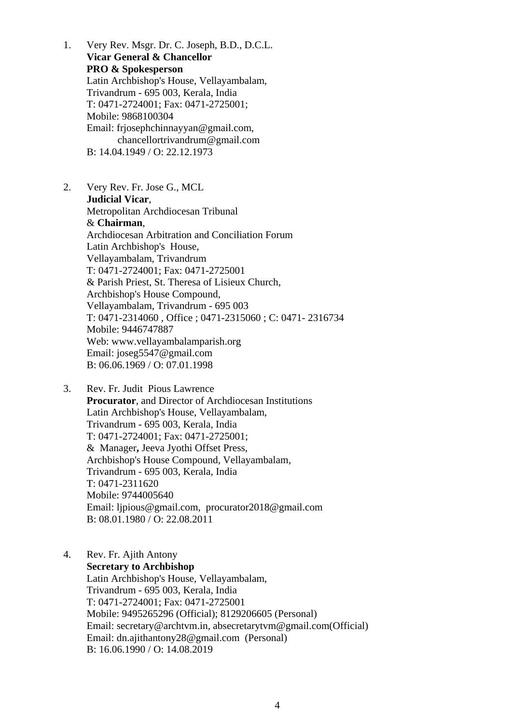- 1. Very Rev. Msgr. Dr. C. Joseph, B.D., D.C.L. **Vicar General & Chancellor PRO & Spokesperson**  Latin Archbishop's House, Vellayambalam, Trivandrum - 695 003, Kerala, India T: 0471-2724001; Fax: 0471-2725001; Mobile: 9868100304 Email: [frjosephchinnayyan@gmail.com,](mailto:frjosephchinnayyan@gmail.com) [chancellortrivandrum@gmail.com](mailto:chancellortrivandrum@gmail.com)  B: 14.04.1949 / O: 22.12.1973
- 2. Very Rev. Fr. Jose G., MCL **Judicial Vicar**, Metropolitan Archdiocesan Tribunal & **Chairman**, Archdiocesan Arbitration and Conciliation Forum Latin Archbishop's House, Vellayambalam, Trivandrum T: 0471-2724001; Fax: 0471-2725001 & Parish Priest, St. Theresa of Lisieux Church, Archbishop's House Compound, Vellayambalam, Trivandrum - 695 003 T: 0471-2314060 , Office ; 0471-2315060 ; C: 0471- 2316734 Mobile: 9446747887 Web: www.vellayambalamparish.org Email: [joseg5547@gmail.com](mailto:joseg5547@gmail.com)  B: 06.06.1969 / O: 07.01.1998
- 3. Rev. Fr. Judit Pious Lawrence **Procurator**, and Director of Archdiocesan Institutions Latin Archbishop's House, Vellayambalam, Trivandrum - 695 003, Kerala, India T: 0471-2724001; Fax: 0471-2725001; & Manager**,** Jeeva Jyothi Offset Press, Archbishop's House Compound, Vellayambalam, Trivandrum - 695 003, Kerala, India T: 0471-2311620 Mobile: 9744005640 Email: [ljpious@gmail.com,](mailto:ljpious@gmail.com) procurator201[8@gmail.com](mailto:ljpious@gmail.com)  B: 08.01.1980 / O: 22.08.2011

### 4. Rev. Fr. Ajith Antony **Secretary to Archbishop**  Latin Archbishop's House, Vellayambalam, Trivandrum - 695 003, Kerala, India T: 0471-2724001; Fax: 0471-2725001 Mobile: 9495265296 (Official); 8129206605 (Personal) Email: [secretary@archtvm.in,](mailto:secretary@archtvm.in) [absecretarytvm@gmail.com](mailto:absecretarytvm@gmail.com)(Official) Email: [dn.ajithantony28@gmail.com](mailto:dn.ajithantony28@gmail.com) (Personal) B: 16.06.1990 / O: 14.08.2019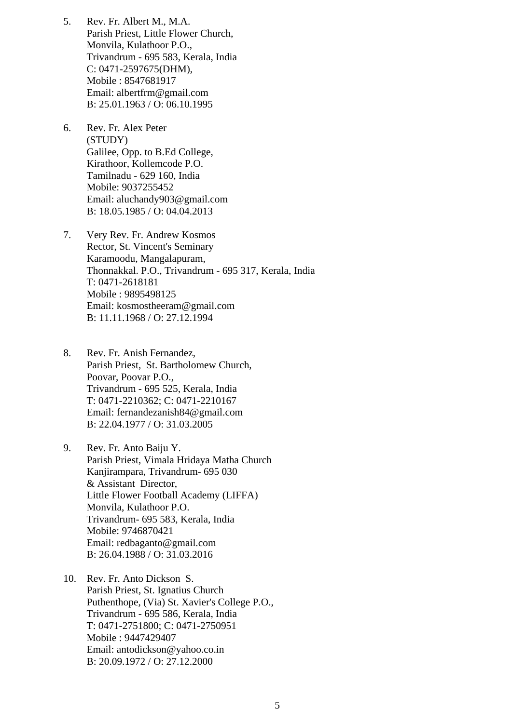- 5. Rev. Fr. Albert M., M.A. Parish Priest, Little Flower Church, Monvila, Kulathoor P.O., Trivandrum - 695 583, Kerala, India C: 0471-2597675(DHM), Mobile : 8547681917 Email: [albertfrm@gmail.com](mailto:albertfrm@gmail.com)  B: 25.01.1963 / O: 06.10.1995
- 6. Rev. Fr. Alex Peter (STUDY) Galilee, Opp. to B.Ed College, Kirathoor, Kollemcode P.O. Tamilnadu - 629 160, India Mobile: 9037255452 Email: [aluchandy903@gmail.com](mailto:aluchandy903@gmail.com)  B: 18.05.1985 / O: 04.04.2013
- 7. Very Rev. Fr. Andrew Kosmos Rector, St. Vincent's Seminary Karamoodu, Mangalapuram, Thonnakkal. P.O., Trivandrum - 695 317, Kerala, India T: 0471-2618181 Mobile : 9895498125 Email: [kosmostheeram@gmail.com](mailto:kosmostheeram@gmail.com)  B: 11.11.1968 / O: 27.12.1994
- 8. Rev. Fr. Anish Fernandez, Parish Priest, St. Bartholomew Church, Poovar, Poovar P.O., Trivandrum - 695 525, Kerala, India T: 0471-2210362; C: 0471-2210167 Email: [fernandezanish84@gmail.com](mailto:fernandezanish84@gmail.com)  B: 22.04.1977 / O: 31.03.2005
- 9. Rev. Fr. Anto Baiju Y. Parish Priest, Vimala Hridaya Matha Church Kanjirampara, Trivandrum- 695 030 & Assistant Director, Little Flower Football Academy (LIFFA) Monvila, Kulathoor P.O. Trivandrum- 695 583, Kerala, India Mobile: 9746870421 Email: [redbaganto@gmail.com](mailto:redbaganto@gmail.com)  B: 26.04.1988 / O: 31.03.2016
- 10. Rev. Fr. Anto Dickson S. Parish Priest, St. Ignatius Church Puthenthope, (Via) St. Xavier's College P.O., Trivandrum - 695 586, Kerala, India T: 0471-2751800; C: 0471-2750951 Mobile : 9447429407 Email: [antodickson@yahoo.co.in](mailto:antodickson@yahoo.co.in)  B: 20.09.1972 / O: 27.12.2000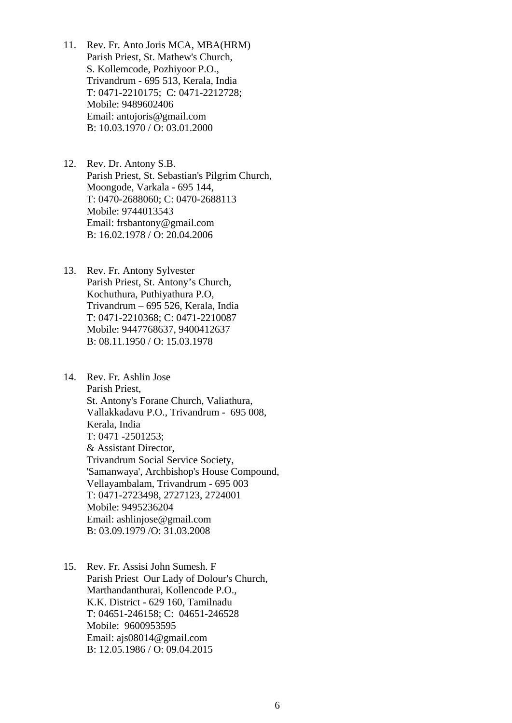- 11. Rev. Fr. Anto Joris MCA, MBA(HRM) Parish Priest, St. Mathew's Church, S. Kollemcode, Pozhiyoor P.O., Trivandrum - 695 513, Kerala, India T: 0471-2210175; C: 0471-2212728; Mobile: 9489602406 Email: [antojoris@gmail.com](mailto:antojoris@gmail.com)  B: 10.03.1970 / O: 03.01.2000
- 12. Rev. Dr. Antony S.B. Parish Priest, St. Sebastian's Pilgrim Church, Moongode, Varkala - 695 144, T: 0470-2688060; C: 0470-2688113 Mobile: 9744013543 Email: frs[bantony@gmail.com](mailto:antony@gmail.com)  B: 16.02.1978 / O: 20.04.2006
- 13. Rev. Fr. Antony Sylvester Parish Priest, St. Antony's Church, Kochuthura, Puthiyathura P.O, Trivandrum – 695 526, Kerala, India T: 0471-2210368; C: 0471-2210087 Mobile: 9447768637, 9400412637 B: 08.11.1950 / O: 15.03.1978
- 14. Rev. Fr. Ashlin Jose Parish Priest, St. Antony's Forane Church, Valiathura, Vallakkadavu P.O., Trivandrum - 695 008, Kerala, India T: 0471 -2501253; & Assistant Director, Trivandrum Social Service Society, 'Samanwaya', Archbishop's House Compound, Vellayambalam, Trivandrum - 695 003 T: 0471-2723498, 2727123, 2724001 Mobile: 9495236204 Email: [ashlinjose@gmail.com](mailto:ashlinjose@gmail.com)  B: 03.09.1979 /O: 31.03.2008
- 15. Rev. Fr. Assisi John Sumesh. F Parish Priest Our Lady of Dolour's Church, Marthandanthurai, Kollencode P.O., K.K. District - 629 160, Tamilnadu T: 04651-246158; C: 04651-246528 Mobile: 9600953595 Email: ajs0801[4@gmail.com](mailto:eliasd@sisy.com)  B: 12.05.1986 / O: 09.04.2015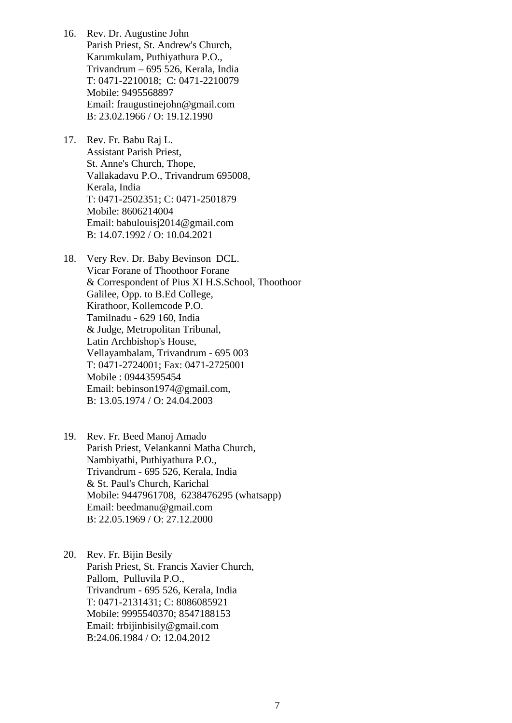- 16. Rev. Dr. Augustine John Parish Priest, St. Andrew's Church, Karumkulam, Puthiyathura P.O., Trivandrum – 695 526, Kerala, India T: 0471-2210018; C: 0471-2210079 Mobile: 9495568897 Email: [fraugustinejohn@gmail.com](mailto:fraugustinejohn@gmail.com)  B: 23.02.1966 / O: 19.12.1990
- 17. Rev. Fr. Babu Raj L. Assistant Parish Priest, St. Anne's Church, Thope, Vallakadavu P.O., Trivandrum 695008, Kerala, India T: 0471-2502351; C: 0471-2501879 Mobile: 8606214004 Email: babulouisj2014@gmail.com B: 14.07.1992 / O: 10.04.2021
- 18. Very Rev. Dr. Baby Bevinson DCL. Vicar Forane of Thoothoor Forane & Correspondent of Pius XI H.S.School, Thoothoor Galilee, Opp. to B.Ed College, Kirathoor, Kollemcode P.O. Tamilnadu - 629 160, India & Judge, Metropolitan Tribunal, Latin Archbishop's House, Vellayambalam, Trivandrum - 695 003 T: 0471-2724001; Fax: 0471-2725001 Mobile : 09443595454 Email: [bebinson1974@gmail.com](mailto:bebinson1974@gmail.com), B: 13.05.1974 / O: 24.04.2003
- 19. Rev. Fr. Beed Manoj Amado Parish Priest, Velankanni Matha Church, Nambiyathi, Puthiyathura P.O., Trivandrum - 695 526, Kerala, India & St. Paul's Church, Karichal Mobile: 9447961708, 6238476295 (whatsapp) Email: beedmanu@gmail.com B: 22.05.1969 / O: 27.12.2000
- 20. Rev. Fr. Bijin Besily Parish Priest, St. Francis Xavier Church, Pallom, Pulluvila P.O., Trivandrum - 695 526, Kerala, India T: 0471-2131431; C: 8086085921 Mobile: 9995540370; 8547188153 Email: [frbijinbisily@gmail.com](mailto:frbijinbisily@gmail.com)  B:24.06.1984 / O: 12.04.2012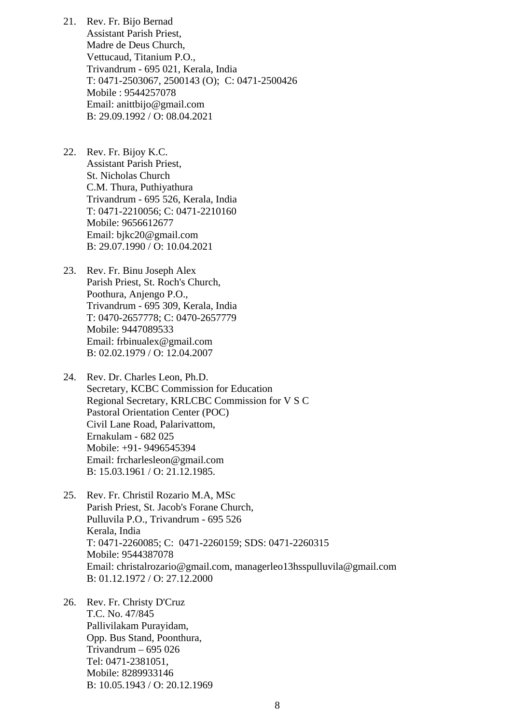- 21. Rev. Fr. Bijo Bernad Assistant Parish Priest, Madre de Deus Church, Vettucaud, Titanium P.O., Trivandrum - 695 021, Kerala, India T: 0471-2503067, 2500143 (O); C: 0471-2500426 Mobile : 9544257078 Email: anittbijo@gmail.com B: 29.09.1992 / O: 08.04.2021
- 22. Rev. Fr. Bijoy K.C. Assistant Parish Priest, St. Nicholas Church C.M. Thura, Puthiyathura Trivandrum - 695 526, Kerala, India T: 0471-2210056; C: 0471-2210160 Mobile: 9656612677 Email: bjkc20@gmail.com B: 29.07.1990 / O: 10.04.2021
- 23. Rev. Fr. Binu Joseph Alex Parish Priest, St. Roch's Church, Poothura, Anjengo P.O., Trivandrum - 695 309, Kerala, India T: 0470-2657778; C: 0470-2657779 Mobile: 9447089533 Email: [frbinualex@gmail.com](mailto:frbinualex@gmail.com)  B: 02.02.1979 / O: 12.04.2007
- 24. Rev. Dr. Charles Leon, Ph.D. Secretary, KCBC Commission for Education Regional Secretary, KRLCBC Commission for V S C Pastoral Orientation Center (POC) Civil Lane Road, Palarivattom, Ernakulam - 682 025 Mobile: +91- 9496545394 Email: [frcharlesleon@gmail.com](mailto:frcharlesleon@gmail.com)  B: 15.03.1961 / O: 21.12.1985.
- 25. Rev. Fr. Christil Rozario M.A, MSc Parish Priest, St. Jacob's Forane Church, Pulluvila P.O., Trivandrum - 695 526 Kerala, India T: 0471-2260085; C: 0471-2260159; SDS: 0471-2260315 Mobile: 9544387078 Email: [christalrozario@gmail.com](mailto:christalrozario@gmail.com), [managerleo13hsspulluvila@gmail.com](mailto:managerleo13hsspulluvila@gmail.com)  B: 01.12.1972 / O: 27.12.2000
- 26. Rev. Fr. Christy D'Cruz T.C. No. 47/845 Pallivilakam Purayidam, Opp. Bus Stand, Poonthura, Trivandrum – 695 026 Tel: 0471-2381051, Mobile: 8289933146 B: 10.05.1943 / O: 20.12.1969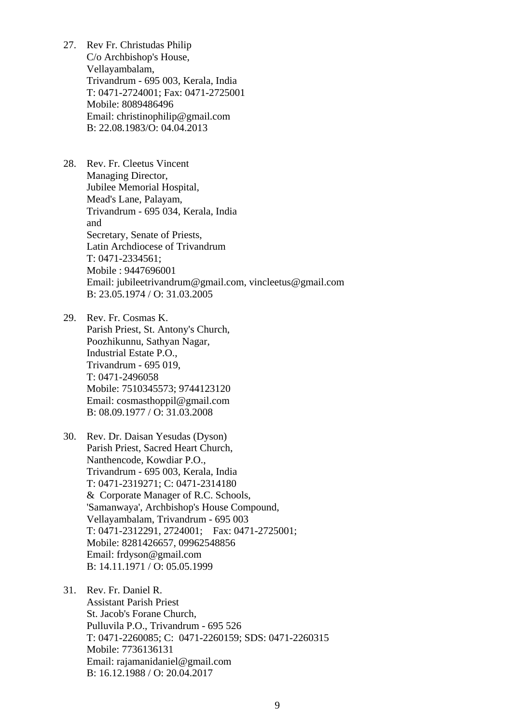- 27. Rev Fr. Christudas Philip C/o Archbishop's House, Vellayambalam, Trivandrum - 695 003, Kerala, India T: 0471-2724001; Fax: 0471-2725001 Mobile: 8089486496 Email: [christinophilip@gmail.com](mailto:christinophilip@gmail.com)  B: 22.08.1983/O: 04.04.2013
- 28. Rev. Fr. Cleetus Vincent Managing Director, Jubilee Memorial Hospital, Mead's Lane, Palayam, Trivandrum - 695 034, Kerala, India and Secretary, Senate of Priests, Latin Archdiocese of Trivandrum T: 0471-2334561; Mobile : 9447696001 Email: [jubileetrivandrum@gmail.com,](mailto:jubileetrivandrum@gmail.com) [vincleetus@gmail.com](mailto:vincleetus@gmail.com)  B: 23.05.1974 / O: 31.03.2005

29. Rev. Fr. Cosmas K. Parish Priest, St. Antony's Church, Poozhikunnu, Sathyan Nagar, Industrial Estate P.O., Trivandrum - 695 019, T: 0471-2496058 Mobile: 7510345573; 9744123120 Email: cosmasthoppil@gmail.com B: 08.09.1977 / O: 31.03.2008

30. Rev. Dr. Daisan Yesudas (Dyson) Parish Priest, Sacred Heart Church, Nanthencode, Kowdiar P.O., Trivandrum - 695 003, Kerala, India T: 0471-2319271; C: 0471-2314180 & Corporate Manager of R.C. Schools, 'Samanwaya', Archbishop's House Compound, Vellayambalam, Trivandrum - 695 003 T: 0471-2312291, 2724001; Fax: 0471-2725001; Mobile: 8281426657, 09962548856 Email: [frdyson@gmail.com](mailto:frdyson@gmail.com)  B: 14.11.1971 / O: 05.05.1999

31. Rev. Fr. Daniel R. Assistant Parish Priest St. Jacob's Forane Church, Pulluvila P.O., Trivandrum - 695 526 T: 0471-2260085; C: 0471-2260159; SDS: 0471-2260315 Mobile: 7736136131 Email: [rajamanidaniel@gmail.com](mailto:rajamanidaniel@gmail.com)  B: 16.12.1988 / O: 20.04.2017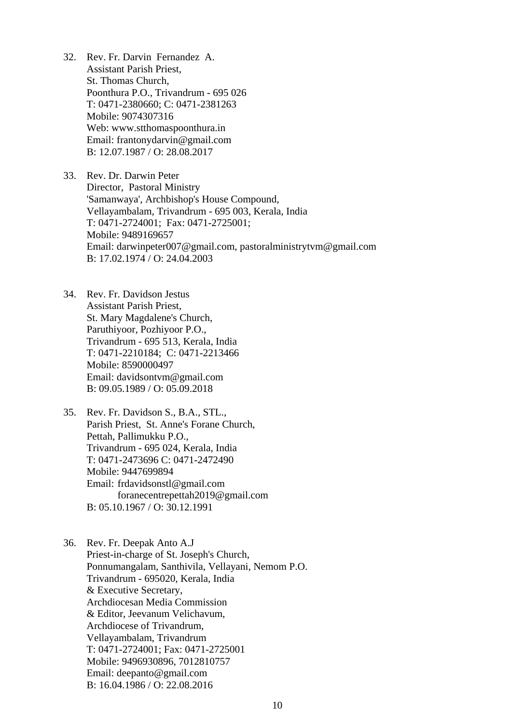32. Rev. Fr. Darvin Fernandez A. Assistant Parish Priest, St. Thomas Church, Poonthura P.O., Trivandrum - 695 026 T: 0471-2380660; C: 0471-2381263 Mobile: 9074307316 Web: www.stthomaspoonthura.in Email: [frantonydarvin@gmail.com](mailto:frantonydarvin@gmail.com)  B: 12.07.1987 / O: 28.08.2017

33. Rev. Dr. Darwin Peter Director, Pastoral Ministry 'Samanwaya', Archbishop's House Compound, Vellayambalam, Trivandrum - 695 003, Kerala, India T: 0471-2724001; Fax: 0471-2725001; Mobile: 9489169657 Email: [darwinpeter007@gmail.com](mailto:darwinpeter007@gmail.com), [pastoralministrytvm@gmail.com](mailto:pastoralministrytvm@gmail.com)  B: 17.02.1974 / O: 24.04.2003

34. Rev. Fr. Davidson Jestus Assistant Parish Priest, St. Mary Magdalene's Church, Paruthiyoor, Pozhiyoor P.O., Trivandrum - 695 513, Kerala, India T: 0471-2210184; C: 0471-2213466 Mobile: 8590000497 Email: davidsontvm[@gmail.com](mailto:jeromenetto@gmail.com)  B: 09.05.1989 / O: 05.09.2018

35. Rev. Fr. Davidson S., B.A., STL., Parish Priest, St. Anne's Forane Church, Pettah, Pallimukku P.O., Trivandrum - 695 024, Kerala, India T: 0471-2473696 C: 0471-2472490 Mobile: 9447699894 Email: [frdavidsonstl@gmail.com](mailto:frdavidsonstl@gmail.com)  [foranecentrepettah2019@gmail.com](mailto:foranecentrepettah2019@gmail.com)  B: 05.10.1967 / O: 30.12.1991

36. Rev. Fr. Deepak Anto A.J Priest-in-charge of St. Joseph's Church, Ponnumangalam, Santhivila, Vellayani, Nemom P.O. Trivandrum - 695020, Kerala, India & Executive Secretary, Archdiocesan Media Commission & Editor, Jeevanum Velichavum, Archdiocese of Trivandrum, Vellayambalam, Trivandrum T: 0471-2724001; Fax: 0471-2725001 Mobile: 9496930896, 7012810757 Email: [deepanto@gmail.com](mailto:deepanto@gmail.com)  B: 16.04.1986 / O: 22.08.2016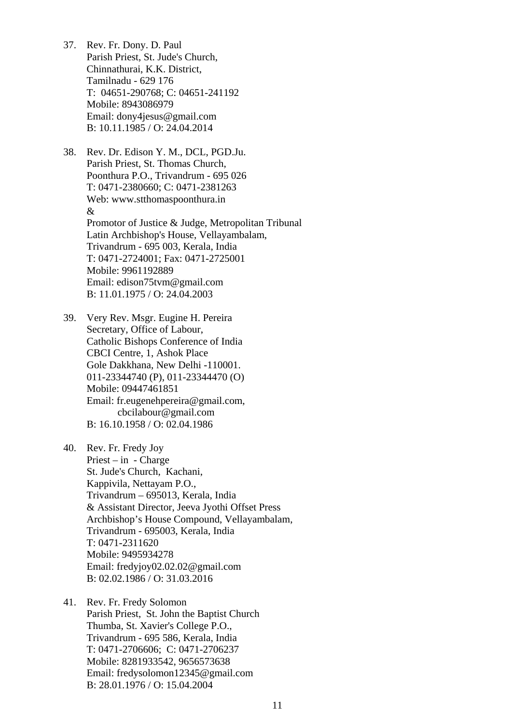37. Rev. Fr. Dony. D. Paul Parish Priest, St. Jude's Church, Chinnathurai, K.K. District, Tamilnadu - 629 176 T: 04651-290768; C: 04651-241192 Mobile: 8943086979 Email: [dony4jesus@gmail.com](mailto:dony4jesus@gmail.com)  B: 10.11.1985 / O: 24.04.2014

38. Rev. Dr. Edison Y. M., DCL, PGD.Ju. Parish Priest, St. Thomas Church, Poonthura P.O., Trivandrum - 695 026 T: 0471-2380660; C: 0471-2381263 Web: www.stthomaspoonthura.in & Promotor of Justice & Judge, Metropolitan Tribunal Latin Archbishop's House, Vellayambalam, Trivandrum - 695 003, Kerala, India T: 0471-2724001; Fax: 0471-2725001 Mobile: 9961192889 Email: [edison75tvm@gmail.com](mailto:edison75tvm@gmail.com)  B: 11.01.1975 / O: 24.04.2003

39. Very Rev. Msgr. Eugine H. Pereira Secretary, Office of Labour, Catholic Bishops Conference of India CBCI Centre, 1, Ashok Place Gole Dakkhana, New Delhi -110001. 011-23344740 (P), 011-23344470 (O) Mobile: 09447461851 Email: [fr.eugenehpereira@gmail.com](mailto:fr.eugenehpereira@gmail.com), [cbcilabour@gmail.com](mailto:cbcilabour@gmail.com)  B: 16.10.1958 / O: 02.04.1986

40. Rev. Fr. Fredy Joy Priest – in - Charge St. Jude's Church, Kachani, Kappivila, Nettayam P.O., Trivandrum – 695013, Kerala, India & Assistant Director, Jeeva Jyothi Offset Press Archbishop's House Compound, Vellayambalam, Trivandrum - 695003, Kerala, India T: 0471-2311620 Mobile: 9495934278 Email: [fredyjoy02.02.02@gmail.com](mailto:fredyjoy02.02.02@gmail.com)  B: 02.02.1986 / O: 31.03.2016

41. Rev. Fr. Fredy Solomon Parish Priest, St. John the Baptist Church Thumba, St. Xavier's College P.O., Trivandrum - 695 586, Kerala, India T: 0471-2706606; C: 0471-2706237 Mobile: 8281933542, 9656573638 Email: [fredysolomon12345@gmail.com](mailto:fredysolomon12345@gmail.com)  B: 28.01.1976 / O: 15.04.2004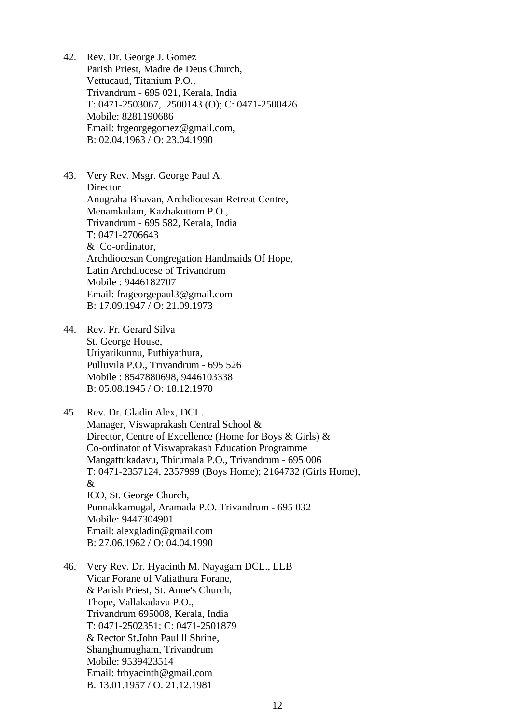- 42. Rev. Dr. George J. Gomez Parish Priest, Madre de Deus Church, Vettucaud, Titanium P.O., Trivandrum - 695 021, Kerala, India T: 0471-2503067, 2500143 (O); C: 0471-2500426 Mobile: 8281190686 Email: [frgeorgegomez@gmail.com,](mailto:frgeorgegomez@gmail.com) B: 02.04.1963 / O: 23.04.1990
- 43. Very Rev. Msgr. George Paul A. **Director** Anugraha Bhavan, Archdiocesan Retreat Centre, Menamkulam, Kazhakuttom P.O., Trivandrum - 695 582, Kerala, India T: 0471-2706643 & Co-ordinator, Archdiocesan Congregation Handmaids Of Hope, Latin Archdiocese of Trivandrum Mobile : 9446182707 Email: [frageorgepaul3@gmail.com](mailto:frageorgepaul3@gmail.com)  B: 17.09.1947 / O: 21.09.1973
- 44. Rev. Fr. Gerard Silva St. George House, Uriyarikunnu, Puthiyathura, Pulluvila P.O., Trivandrum - 695 526 Mobile : 8547880698, 9446103338 B: 05.08.1945 / O: 18.12.1970
- 45. Rev. Dr. Gladin Alex, DCL. Manager, Viswaprakash Central School & Director, Centre of Excellence (Home for Boys & Girls) & Co-ordinator of Viswaprakash Education Programme Mangattukadavu, Thirumala P.O., Trivandrum - 695 006 T: 0471-2357124, 2357999 (Boys Home); 2164732 (Girls Home), & ICO, St. George Church, Punnakkamugal, Aramada P.O. Trivandrum - 695 032 Mobile: 9447304901 Email: [alexgladin@gmail.com](mailto:alexgladin@gmail.com)  B: 27.06.1962 / O: 04.04.1990
- 46. Very Rev. Dr. Hyacinth M. Nayagam DCL., LLB Vicar Forane of Valiathura Forane, & Parish Priest, St. Anne's Church, Thope, Vallakadavu P.O., Trivandrum 695008, Kerala, India T: 0471-2502351; C: 0471-2501879 & Rector St.John Paul ll Shrine, Shanghumugham, Trivandrum Mobile: 9539423514 Email: [frhyacinth@gmail.com](mailto:frhyacinth@gmail.com)  B. 13.01.1957 / O. 21.12.1981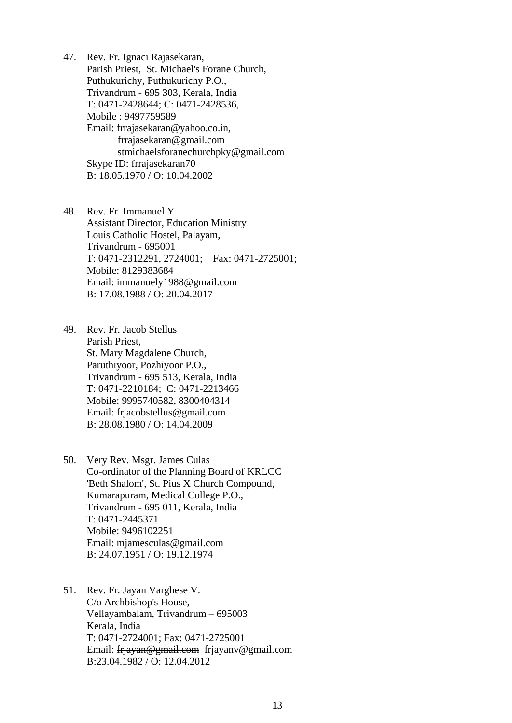47. Rev. Fr. Ignaci Rajasekaran, Parish Priest, St. Michael's Forane Church, Puthukurichy, Puthukurichy P.O., Trivandrum - 695 303, Kerala, India T: 0471-2428644; C: 0471-2428536, Mobile : 9497759589 Email: [frrajasekaran@yahoo.co.in,](mailto:frrajasekaran@yahoo.co.in) [frrajasekaran@gmail.com](mailto:frrajasekaran@gmail.com)  [stmichaelsforanechurchpky@gmail.com](mailto:stmichaelsforanechurchpky@gmail.com)  Skype ID: frrajasekaran70 B: 18.05.1970 / O: 10.04.2002

48. Rev. Fr. Immanuel Y Assistant Director, Education Ministry Louis Catholic Hostel, Palayam, Trivandrum - 695001 T: 0471-2312291, 2724001; Fax: 0471-2725001; Mobile: 8129383684 Email: immanuely1988@gmail.com B: 17.08.1988 / O: 20.04.2017

49. Rev. Fr. Jacob Stellus Parish Priest, St. Mary Magdalene Church, Paruthiyoor, Pozhiyoor P.O., Trivandrum - 695 513, Kerala, India T: 0471-2210184; C: 0471-2213466 Mobile: 9995740582, 8300404314 Email: [frjacobstellus@gmail.com](mailto:frjacobstellus@gmail.com)  B: 28.08.1980 / O: 14.04.2009

- 50. Very Rev. Msgr. James Culas Co-ordinator of the Planning Board of KRLCC 'Beth Shalom', St. Pius X Church Compound, Kumarapuram, Medical College P.O., Trivandrum - 695 011, Kerala, India T: 0471-2445371 Mobile: 9496102251 Email: [mjamesculas@gmail.com](mailto:mjamesculas@gmail.com)  B: 24.07.1951 / O: 19.12.1974
- 51. Rev. Fr. Jayan Varghese V. C/o Archbishop's House, Vellayambalam, Trivandrum – 695003 Kerala, India T: 0471-2724001; Fax: 0471-2725001 Email: [frjayan@gmail.com](mailto:frjayan@gmail.com) frjayanv@gmail.com B:23.04.1982 / O: 12.04.2012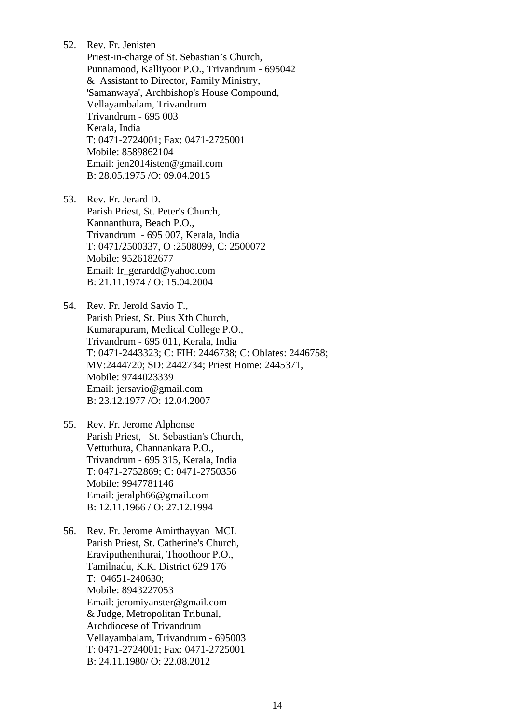- 52. Rev. Fr. Jenisten
	- Priest-in-charge of St. Sebastian's Church, Punnamood, Kalliyoor P.O., Trivandrum - 695042 & Assistant to Director, Family Ministry, 'Samanwaya', Archbishop's House Compound, Vellayambalam, Trivandrum Trivandrum - 695 003 Kerala, India T: 0471-2724001; Fax: 0471-2725001 Mobile: 8589862104 Email: [jen2014isten@gmail.com](mailto:jen2014isten@gmail.com)  B: 28.05.1975 /O: 09.04.2015
- 53. Rev. Fr. Jerard D. Parish Priest, St. Peter's Church, Kannanthura, Beach P.O., Trivandrum - 695 007, Kerala, India T: 0471/2500337, O :2508099, C: 2500072 Mobile: 9526182677 Email: [fr\\_gerardd@yahoo.com](mailto:fr_gerardd@yahoo.com)  B: 21.11.1974 / O: 15.04.2004
- 54. Rev. Fr. Jerold Savio T., Parish Priest, St. Pius Xth Church, Kumarapuram, Medical College P.O., Trivandrum - 695 011, Kerala, India T: 0471-2443323; C: FIH: 2446738; C: Oblates: 2446758; MV:2444720; SD: 2442734; Priest Home: 2445371, Mobile: 9744023339 Email: [jersavio@gmail.com](mailto:jersavio@gmail.com)  B: 23.12.1977 /O: 12.04.2007
- 55. Rev. Fr. Jerome Alphonse Parish Priest, St. Sebastian's Church, Vettuthura, Channankara P.O., Trivandrum - 695 315, Kerala, India T: 0471-2752869; C: 0471-2750356 Mobile: 9947781146 Email: [jeralph66@gmail.com](mailto:jeralph66@gmail.com)  B: 12.11.1966 / O: 27.12.1994
- 56. Rev. Fr. Jerome Amirthayyan MCL Parish Priest, St. Catherine's Church, Eraviputhenthurai, Thoothoor P.O., Tamilnadu, K.K. District 629 176 T: 04651-240630; Mobile: 8943227053 Email: [jeromiyanster@gmail.com](mailto:jeromiyanster@gmail.com)  & Judge, Metropolitan Tribunal, Archdiocese of Trivandrum Vellayambalam, Trivandrum - 695003 T: 0471-2724001; Fax: 0471-2725001 B: 24.11.1980/ O: 22.08.2012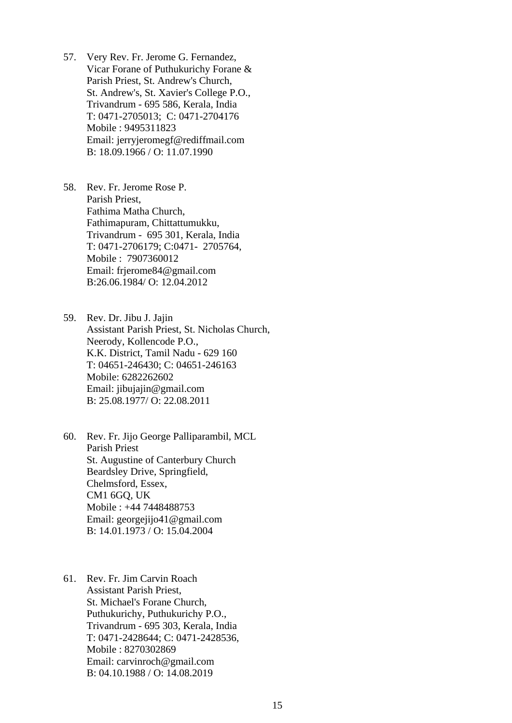- 57. Very Rev. Fr. Jerome G. Fernandez, Vicar Forane of Puthukurichy Forane & Parish Priest, St. Andrew's Church, St. Andrew's, St. Xavier's College P.O., Trivandrum - 695 586, Kerala, India T: 0471-2705013; C: 0471-2704176 Mobile : 9495311823 Email: jerr[yjeromegf@rediffmail.com](mailto:jeromegf@rediffmail.com)  B: 18.09.1966 / O: 11.07.1990
- 58. Rev. Fr. Jerome Rose P. Parish Priest, Fathima Matha Church, Fathimapuram, Chittattumukku, Trivandrum - 695 301, Kerala, India T: 0471-2706179; C:0471- 2705764, Mobile : 7907360012 Email: [frjerome84@gmail.com](mailto:frjerome84@gmail.com)  B:26.06.1984/ O: 12.04.2012

59. Rev. Dr. Jibu J. Jajin Assistant Parish Priest, St. Nicholas Church, Neerody, Kollencode P.O., K.K. District, Tamil Nadu - 629 160 T: 04651-246430; C: 04651-246163 Mobile: 6282262602 Email: [jibujajin@gmail.com](mailto:jibujajin@gmail.com)  B: 25.08.1977/ O: 22.08.2011

60. Rev. Fr. Jijo George Palliparambil, MCL Parish Priest St. Augustine of Canterbury Church Beardsley Drive, Springfield, Chelmsford, Essex, CM1 6GQ, UK Mobile : +44 7448488753 Email: [georgejijo41@gmail.com](mailto:georgejijo41@gmail.com)  B: 14.01.1973 / O: 15.04.2004

61. Rev. Fr. Jim Carvin Roach Assistant Parish Priest, St. Michael's Forane Church, Puthukurichy, Puthukurichy P.O., Trivandrum - 695 303, Kerala, India T: 0471-2428644; C: 0471-2428536, Mobile : 8270302869 Email: [carvinroch@gmail.com](mailto:carvinroch@gmail.com)  B: 04.10.1988 / O: 14.08.2019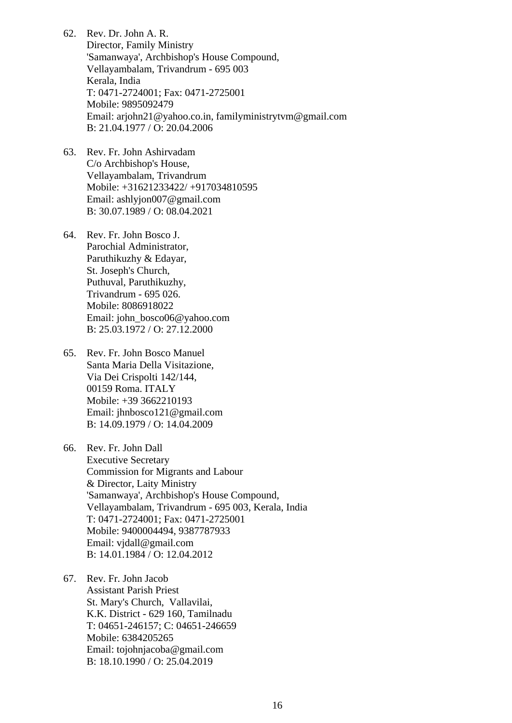62. Rev. Dr. John A. R. Director, Family Ministry 'Samanwaya', Archbishop's House Compound, Vellayambalam, Trivandrum - 695 003 Kerala, India T: 0471-2724001; Fax: 0471-2725001 Mobile: 9895092479 Email: [arjohn21@yahoo.co.in,](mailto:arjohn21@yahoo.co.in) familyministrytvm@gmail.com B: 21.04.1977 / O: 20.04.2006

- 63. Rev. Fr. John Ashirvadam C/o Archbishop's House, Vellayambalam, Trivandrum Mobile: +31621233422/ +917034810595 Email: ashlyjon007@gmail.com B: 30.07.1989 / O: 08.04.2021
- 64. Rev. Fr. John Bosco J. Parochial Administrator, Paruthikuzhy & Edayar, St. Joseph's Church, Puthuval, Paruthikuzhy, Trivandrum - 695 026. Mobile: 8086918022 Email: [john\\_bosco06@yahoo.com](mailto:john_bosco06@yahoo.com)  B: 25.03.1972 / O: 27.12.2000
- 65. Rev. Fr. John Bosco Manuel Santa Maria Della Visitazione, Via Dei Crispolti 142/144, 00159 Roma. ITALY Mobile: +39 3662210193 Email: [jhnbosco121@gmail.com](mailto:jhnbosco121@gmail.com)  B: 14.09.1979 / O: 14.04.2009

66. Rev. Fr. John Dall Executive Secretary Commission for Migrants and Labour & Director, Laity Ministry 'Samanwaya', Archbishop's House Compound, Vellayambalam, Trivandrum - 695 003, Kerala, India T: 0471-2724001; Fax: 0471-2725001 Mobile: 9400004494, 9387787933 Email: [vjdall@gmail.com](mailto:vjdall@gmail.com)  B: 14.01.1984 / O: 12.04.2012

67. Rev. Fr. John Jacob Assistant Parish Priest St. Mary's Church, Vallavilai, K.K. District - 629 160, Tamilnadu T: 04651-246157; C: 04651-246659 Mobile: 6384205265 Email: tojohnjacoba@gmail.com B: 18.10.1990 / O: 25.04.2019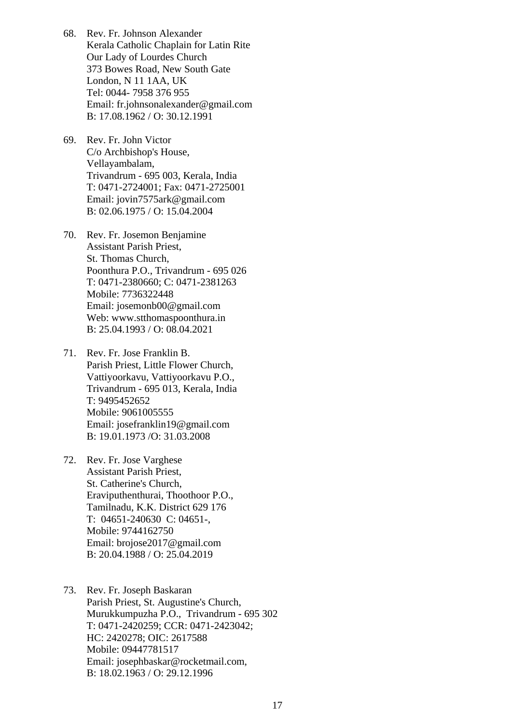- 68. Rev. Fr. Johnson Alexander Kerala Catholic Chaplain for Latin Rite Our Lady of Lourdes Church 373 Bowes Road, New South Gate London, N 11 1AA, UK Tel: 0044- 7958 376 955 Email: [fr.johnsonalexander@gmail.com](mailto:fr.johnsonalexander@gmail.com)  B: 17.08.1962 / O: 30.12.1991
- 69. Rev. Fr. John Victor C/o Archbishop's House, Vellayambalam, Trivandrum - 695 003, Kerala, India T: 0471-2724001; Fax: 0471-2725001 Email: [jovin7575ark@gmail.com](mailto:jovin7575ark@gmail.com)  B: 02.06.1975 / O: 15.04.2004
- 70. Rev. Fr. Josemon Benjamine Assistant Parish Priest, St. Thomas Church, Poonthura P.O., Trivandrum - 695 026 T: 0471-2380660; C: 0471-2381263 Mobile: 7736322448 Email: josemonb00@gmail.com Web: www.stthomaspoonthura.in B: 25.04.1993 / O: 08.04.2021
- 71. Rev. Fr. Jose Franklin B. Parish Priest, Little Flower Church, Vattiyoorkavu, Vattiyoorkavu P.O., Trivandrum - 695 013, Kerala, India T: 9495452652 Mobile: 9061005555 Email: [josefranklin19@gmail.com](mailto:josefranklin19@gmail.com)  B: 19.01.1973 /O: 31.03.2008
- 72. Rev. Fr. Jose Varghese Assistant Parish Priest, St. Catherine's Church, Eraviputhenthurai, Thoothoor P.O., Tamilnadu, K.K. District 629 176 T: 04651-240630 C: 04651-, Mobile: 9744162750 Email: [brojose2017@gmail.com](mailto:jose2017@gmail.com)  B: 20.04.1988 / O: 25.04.2019
- 73. Rev. Fr. Joseph Baskaran Parish Priest, St. Augustine's Church, Murukkumpuzha P.O., Trivandrum - 695 302 T: 0471-2420259; CCR: 0471-2423042; HC: 2420278; OIC: 2617588 Mobile: 09447781517 Email: [josephbaskar@rocketmail.com](mailto:josephbaskar@rocketmail.com), B: 18.02.1963 / O: 29.12.1996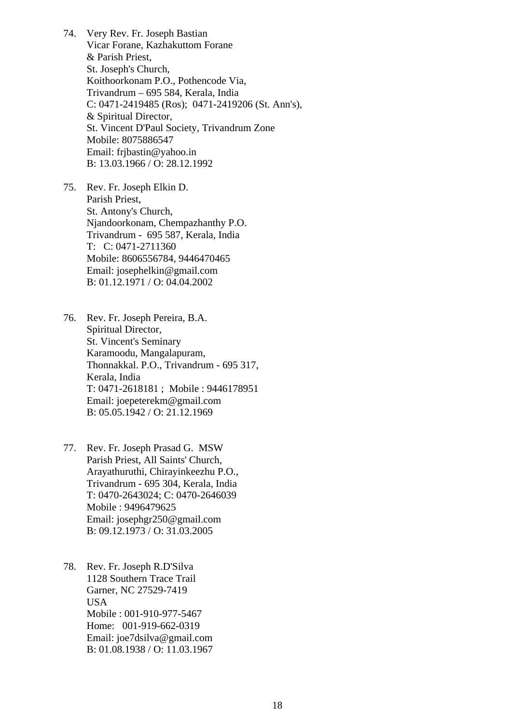74. Very Rev. Fr. Joseph Bastian Vicar Forane, Kazhakuttom Forane & Parish Priest, St. Joseph's Church, Koithoorkonam P.O., Pothencode Via, Trivandrum – 695 584, Kerala, India C: 0471-2419485 (Ros); 0471-2419206 (St. Ann's), & Spiritual Director, St. Vincent D'Paul Society, Trivandrum Zone Mobile: 8075886547 Email: [frjbastin@yahoo.in](mailto:frjbastin@yahoo.in)  B: 13.03.1966 / O: 28.12.1992

75. Rev. Fr. Joseph Elkin D. Parish Priest, St. Antony's Church, Njandoorkonam, Chempazhanthy P.O. Trivandrum - 695 587, Kerala, India T: C: 0471-2711360 Mobile: 8606556784, 9446470465 Email: [josephelkin@gmail.com](mailto:josephelkin@gmail.com) B: 01.12.1971 / O: 04.04.2002

76. Rev. Fr. Joseph Pereira, B.A. Spiritual Director, St. Vincent's Seminary Karamoodu, Mangalapuram, Thonnakkal. P.O., Trivandrum - 695 317, Kerala, India T: 0471-2618181 ; Mobile : 9446178951 Email: [joepeterekm@gmail.com](mailto:joepeterekm@gmail.com)  B: 05.05.1942 / O: 21.12.1969

77. Rev. Fr. Joseph Prasad G. MSW Parish Priest, All Saints' Church, Arayathuruthi, Chirayinkeezhu P.O., Trivandrum - 695 304, Kerala, India T: 0470-2643024; C: 0470-2646039 Mobile : 9496479625 Email: [josephgr250@gmail.com](mailto:josephgr250@gmail.com) B: 09.12.1973 / O: 31.03.2005

78. Rev. Fr. Joseph R.D'Silva 1128 Southern Trace Trail Garner, NC 27529-7419 USA Mobile : 001-910-977-5467 Home: 001-919-662-0319 Email: [joe7dsilva@gmail.com](mailto:joe7dsilva@gmail.com)  B: 01.08.1938 / O: 11.03.1967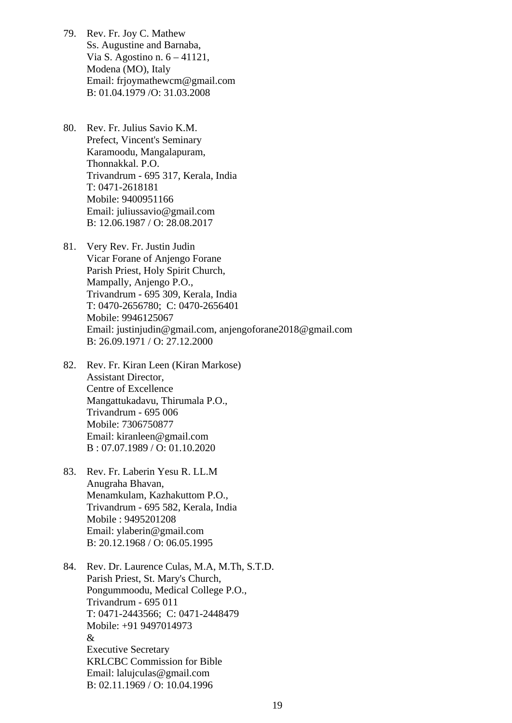- 79. Rev. Fr. Joy C. Mathew Ss. Augustine and Barnaba, Via S. Agostino n. 6 – 41121, Modena (MO), Italy Email: [frjoymathewcm@gmail.com](mailto:frjoymathewcm@gmail.com)  B: 01.04.1979 /O: 31.03.2008
- 80. Rev. Fr. Julius Savio K.M. Prefect, Vincent's Seminary Karamoodu, Mangalapuram, Thonnakkal. P.O. Trivandrum - 695 317, Kerala, India T: 0471-2618181 Mobile: 9400951166 Email: [juliussavio@gmail.com](mailto:juliussavio@gmail.com)  B: 12.06.1987 / O: 28.08.2017
- 81. Very Rev. Fr. Justin Judin Vicar Forane of Anjengo Forane Parish Priest, Holy Spirit Church, Mampally, Anjengo P.O., Trivandrum - 695 309, Kerala, India T: 0470-2656780; C: 0470-2656401 Mobile: 9946125067 Email: [justinjudin@gmail.com](mailto:justinjudin@gmail.com), [anjengoforane2018@gmail.com](mailto:anjengoforane2018@gmail.com)  B: 26.09.1971 / O: 27.12.2000
- 82. Rev. Fr. Kiran Leen (Kiran Markose) Assistant Director, Centre of Excellence Mangattukadavu, Thirumala P.O., Trivandrum - 695 006 Mobile: 7306750877 Email: kiranleen@gmail.com B : 07.07.1989 / O: 01.10.2020
- 83. Rev. Fr. Laberin Yesu R. LL.M Anugraha Bhavan, Menamkulam, Kazhakuttom P.O., Trivandrum - 695 582, Kerala, India Mobile : 9495201208 Email: [ylaberin@gmail.com](mailto:ylaberin@gmail.com)  B: 20.12.1968 / O: 06.05.1995
- 84. Rev. Dr. Laurence Culas, M.A, M.Th, S.T.D. Parish Priest, St. Mary's Church, Pongummoodu, Medical College P.O., Trivandrum - 695 011 T: 0471-2443566; C: 0471-2448479 Mobile: +91 9497014973 & Executive Secretary KRLCBC Commission for Bible Email: [lalujculas@gmail.com](mailto:lalujculas@gmail.com)  B: 02.11.1969 / O: 10.04.1996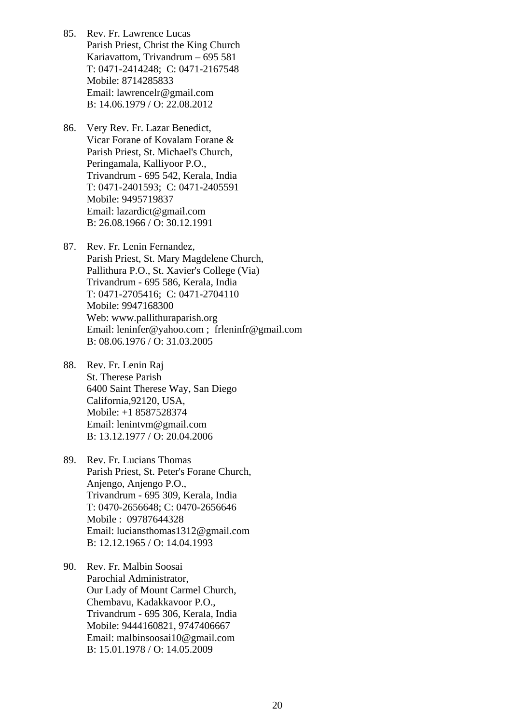- 85. Rev. Fr. Lawrence Lucas Parish Priest, Christ the King Church Kariavattom, Trivandrum – 695 581 T: 0471-2414248; C: 0471-2167548 Mobile: 8714285833 Email: [lawrencelr@gmail.com](mailto:lawrencelr@gmail.com)  B: 14.06.1979 / O: 22.08.2012
- 86. Very Rev. Fr. Lazar Benedict, Vicar Forane of Kovalam Forane & Parish Priest, St. Michael's Church, Peringamala, Kalliyoor P.O., Trivandrum - 695 542, Kerala, India T: 0471-2401593; C: 0471-2405591 Mobile: 9495719837 Email: [lazardict@gmail.com](mailto:lazardict@gmail.com)  B: 26.08.1966 / O: 30.12.1991
- 87. Rev. Fr. Lenin Fernandez, Parish Priest, St. Mary Magdelene Church, Pallithura P.O., St. Xavier's College (Via) Trivandrum - 695 586, Kerala, India T: 0471-2705416; C: 0471-2704110 Mobile: 9947168300 Web: [www.pallithuraparish.org](http://www.pallithuraparish.org/) Email: [leninfer@yahoo.com](mailto:leninfer@yahoo.com) ; [frleninfr@gmail.com](mailto:frleninfr@gmail.com)  B: 08.06.1976 / O: 31.03.2005
- 88. Rev. Fr. Lenin Raj St. Therese Parish 6400 Saint Therese Way, San Diego California,92120, USA, Mobile: +1 8587528374 Email: [lenintvm@gmail.com](mailto:lenintvm@gmail.com)  B: 13.12.1977 / O: 20.04.2006
- 89. Rev. Fr. Lucians Thomas Parish Priest, St. Peter's Forane Church, Anjengo, Anjengo P.O., Trivandrum - 695 309, Kerala, India T: 0470-2656648; C: 0470-2656646 Mobile : 09787644328 Email: [luciansthomas1312@gmail.com](mailto:luciansthomas1312@gmail.com)  B: 12.12.1965 / O: 14.04.1993
- 90. Rev. Fr. Malbin Soosai Parochial Administrator, Our Lady of Mount Carmel Church, Chembavu, Kadakkavoor P.O., Trivandrum - 695 306, Kerala, India Mobile: 9444160821, 9747406667 Email: [malbinsoosai10@gmail.com](mailto:malbinsoosai10@gmail.com)  B: 15.01.1978 / O: 14.05.2009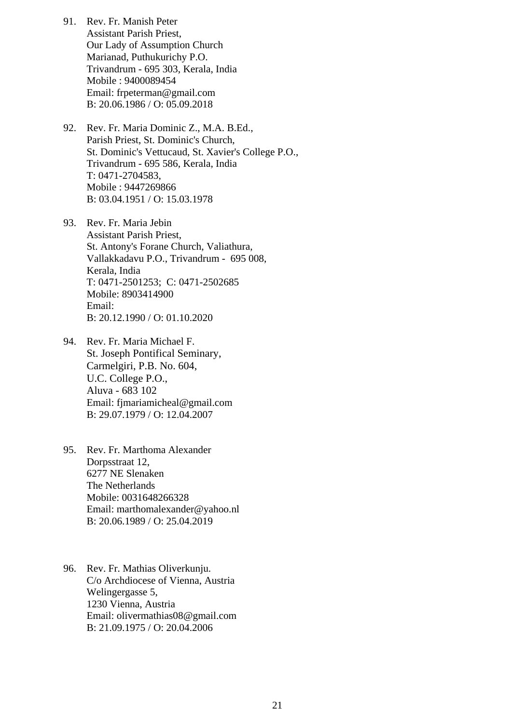- 91. Rev. Fr. Manish Peter Assistant Parish Priest, Our Lady of Assumption Church Marianad, Puthukurichy P.O. Trivandrum - 695 303, Kerala, India Mobile : 9400089454 Email: frpeterma[n@gmail.com](mailto:jeromenetto@gmail.com)  B: 20.06.1986 / O: 05.09.2018
- 92. Rev. Fr. Maria Dominic Z., M.A. B.Ed., Parish Priest, St. Dominic's Church, St. Dominic's Vettucaud, St. Xavier's College P.O., Trivandrum - 695 586, Kerala, India T: 0471-2704583, Mobile : 9447269866 B: 03.04.1951 / O: 15.03.1978
- 93. Rev. Fr. Maria Jebin Assistant Parish Priest, St. Antony's Forane Church, Valiathura, Vallakkadavu P.O., Trivandrum - 695 008, Kerala, India T: 0471-2501253; C: 0471-2502685 Mobile: 8903414900 Email: B: 20.12.1990 / O: 01.10.2020
- 94. Rev. Fr. Maria Michael F. St. Joseph Pontifical Seminary, Carmelgiri, P.B. No. 604, U.C. College P.O., Aluva - 683 102 Email: [fjmariamicheal@gmail.com](mailto:fjmariamicheal@gmail.com)  B: 29.07.1979 / O: 12.04.2007
- 95. Rev. Fr. Marthoma Alexander Dorpsstraat 12, 6277 NE Slenaken The Netherlands Mobile: 0031648266328 Email: [marthomalexander@yahoo.nl](mailto:marthomalexander@yahoo.nl)  B: 20.06.1989 / O: 25.04.2019
- 96. Rev. Fr. Mathias Oliverkunju. C/o Archdiocese of Vienna, Austria Welingergasse 5, 1230 Vienna, Austria Email: [olivermathias08@gmail.com](mailto:olivermathias08@gmail.com) B: 21.09.1975 / O: 20.04.2006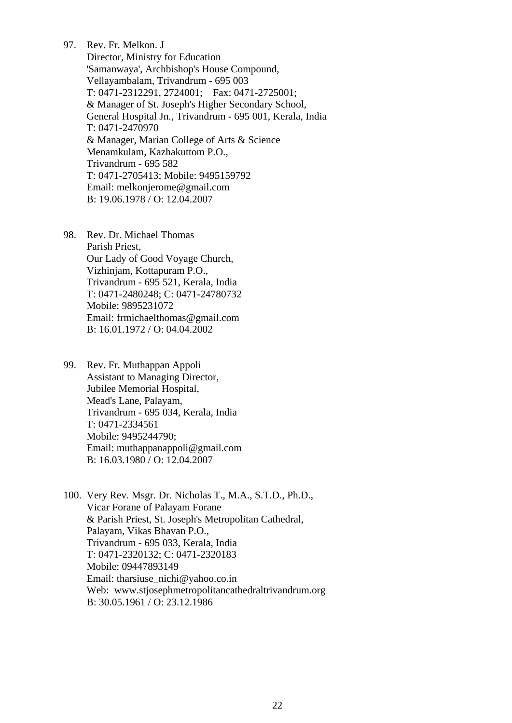97. Rev. Fr. Melkon. J Director, Ministry for Education 'Samanwaya', Archbishop's House Compound, Vellayambalam, Trivandrum - 695 003 T: 0471-2312291, 2724001; Fax: 0471-2725001; & Manager of St. Joseph's Higher Secondary School, General Hospital Jn., Trivandrum - 695 001, Kerala, India T: 0471-2470970 & Manager, Marian College of Arts & Science Menamkulam, Kazhakuttom P.O., Trivandrum - 695 582 T: 0471-2705413; Mobile: 9495159792 Email: [melkonjerome@gmail.com](mailto:melkonjerome@gmail.com)  B: 19.06.1978 / O: 12.04.2007

- 98. Rev. Dr. Michael Thomas Parish Priest, Our Lady of Good Voyage Church, Vizhinjam, Kottapuram P.O., Trivandrum - 695 521, Kerala, India T: 0471-2480248; C: 0471-24780732 Mobile: 9895231072 Email: [frmichaelthomas@gmail.com](mailto:frmichaelthomas@gmail.com)  B: 16.01.1972 / O: 04.04.2002
- 99. Rev. Fr. Muthappan Appoli Assistant to Managing Director, Jubilee Memorial Hospital, Mead's Lane, Palayam, Trivandrum - 695 034, Kerala, India T: 0471-2334561 Mobile: 9495244790; Email: [muthappanappoli@gmail.com](mailto:muthappanappoli@gmail.com)  B: 16.03.1980 / O: 12.04.2007
- 100. Very Rev. Msgr. Dr. Nicholas T., M.A., S.T.D., Ph.D., Vicar Forane of Palayam Forane & Parish Priest, St. Joseph's Metropolitan Cathedral, Palayam, Vikas Bhavan P.O., Trivandrum - 695 033, Kerala, India T: 0471-2320132; C: 0471-2320183 Mobile: 09447893149 Email: [tharsiuse\\_nichi@yahoo.co.in](mailto:tharsiuse_nichi@yahoo.co.in)  Web: www.stjosephmetropolitancathedraltrivandrum.org B: 30.05.1961 / O: 23.12.1986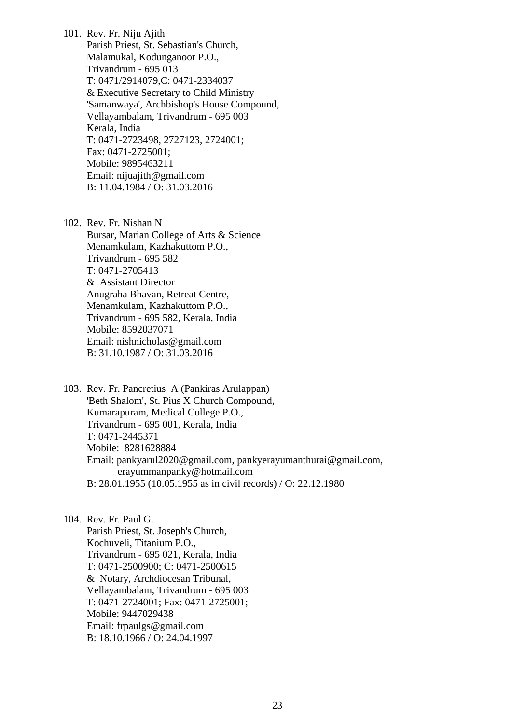101. Rev. Fr. Niju Ajith Parish Priest, St. Sebastian's Church, Malamukal, Kodunganoor P.O., Trivandrum - 695 013 T: 0471/2914079,C: 0471-2334037 & Executive Secretary to Child Ministry 'Samanwaya', Archbishop's House Compound, Vellayambalam, Trivandrum - 695 003 Kerala, India T: 0471-2723498, 2727123, 2724001; Fax: 0471-2725001; Mobile: 9895463211 Email: [nijuajith@gmail.com](mailto:nijuajith@gmail.com)  B: 11.04.1984 / O: 31.03.2016

102. Rev. Fr. Nishan N Bursar, Marian College of Arts & Science Menamkulam, Kazhakuttom P.O., Trivandrum - 695 582 T: 0471-2705413 & Assistant Director Anugraha Bhavan, Retreat Centre, Menamkulam, Kazhakuttom P.O., Trivandrum - 695 582, Kerala, India Mobile: 8592037071 Email: [nishnicholas@gmail.com](mailto:nishnicholas@gmail.com)  B: 31.10.1987 / O: 31.03.2016

103. Rev. Fr. Pancretius A (Pankiras Arulappan) 'Beth Shalom', St. Pius X Church Compound, Kumarapuram, Medical College P.O., Trivandrum - 695 001, Kerala, India T: 0471-2445371 Mobile: 8281628884 Email: [pankyarul2020@gmail.com,](mailto:pankyarul2020@gmail.com,) [pankyerayumanthurai@gmail.com,](mailto:pankyerayumanthurai@gmail.com,) [erayummanpanky@hotmail.com](mailto:erayummanpanky@hotmail.com) B: 28.01.1955 (10.05.1955 as in civil records) / O: 22.12.1980

104. Rev. Fr. Paul G. Parish Priest, St. Joseph's Church, Kochuveli, Titanium P.O., Trivandrum - 695 021, Kerala, India T: 0471-2500900; C: 0471-2500615 & Notary, Archdiocesan Tribunal, Vellayambalam, Trivandrum - 695 003 T: 0471-2724001; Fax: 0471-2725001; Mobile: 9447029438 Email: [frpaulgs@gmail.com](mailto:frpaulgs@gmail.com)  B: 18.10.1966 / O: 24.04.1997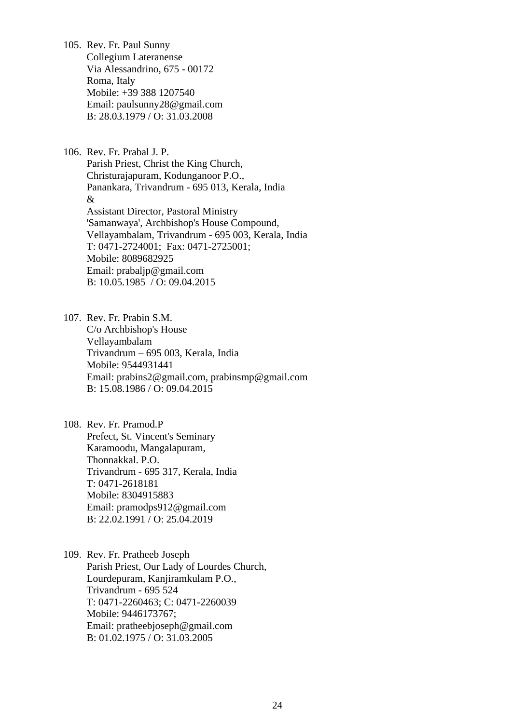105. Rev. Fr. Paul Sunny Collegium Lateranense Via Alessandrino, 675 - 00172 Roma, Italy Mobile: +39 388 1207540 Email: [paulsunny28@gmail.com](mailto:paulsunny28@gmail.com)  B: 28.03.1979 / O: 31.03.2008

106. Rev. Fr. Prabal J. P. Parish Priest, Christ the King Church, Christurajapuram, Kodunganoor P.O., Panankara, Trivandrum - 695 013, Kerala, India & Assistant Director, Pastoral Ministry 'Samanwaya', Archbishop's House Compound, Vellayambalam, Trivandrum - 695 003, Kerala, India T: 0471-2724001; Fax: 0471-2725001; Mobile: 8089682925 Email: [prabaljp@gmail.com](mailto:prabaljp@gmail.com)  B: 10.05.1985 / O: 09.04.2015

107. Rev. Fr. Prabin S.M.

C/o Archbishop's House Vellayambalam Trivandrum – 695 003, Kerala, India Mobile: 9544931441 Email: [prabins2@gmail.com](mailto:prabins2@gmail.com), prabinsmp@gmail.com B: 15.08.1986 / O: 09.04.2015

108. Rev. Fr. Pramod.P Prefect, St. Vincent's Seminary Karamoodu, Mangalapuram, Thonnakkal. P.O. Trivandrum - 695 317, Kerala, India T: 0471-2618181 Mobile: 8304915883 Email: [pramodps912@gmail.com](mailto:pramodps912@gmail.com)  B: 22.02.1991 / O: 25.04.2019

109. Rev. Fr. Pratheeb Joseph Parish Priest, Our Lady of Lourdes Church, Lourdepuram, Kanjiramkulam P.O., Trivandrum - 695 524 T: 0471-2260463; C: 0471-2260039 Mobile: 9446173767; Email: [pratheebjoseph@gmail.com](mailto:pratheebjoseph@gmail.com)  B: 01.02.1975 / O: 31.03.2005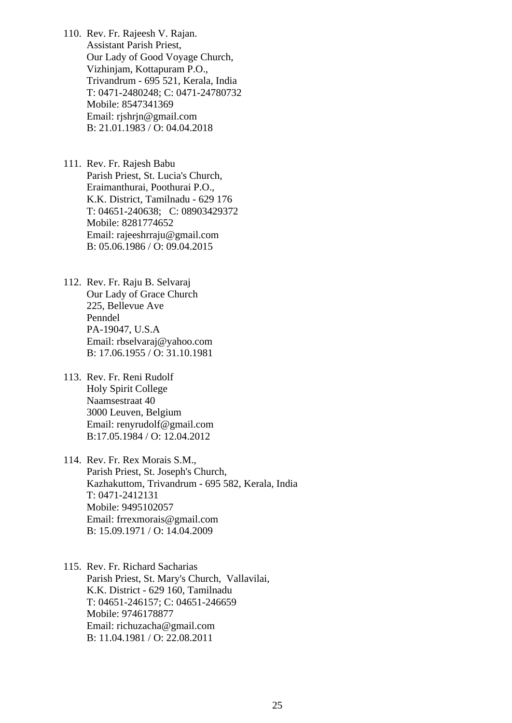110. Rev. Fr. Rajeesh V. Rajan. Assistant Parish Priest, Our Lady of Good Voyage Church, Vizhinjam, Kottapuram P.O., Trivandrum - 695 521, Kerala, India T: 0471-2480248; C: 0471-24780732 Mobile: 8547341369 Email: rjshrj[n@gmail.com](mailto:russelignatius@gmail.com)  B: 21.01.1983 / O: 04.04.2018

111. Rev. Fr. Rajesh Babu Parish Priest, St. Lucia's Church, Eraimanthurai, Poothurai P.O., K.K. District, Tamilnadu - 629 176 T: 04651-240638; C: 08903429372 Mobile: 8281774652 Email: [rajeeshrraju@gmail.com](mailto:rajeeshrraju@gmail.com)  B: 05.06.1986 / O: 09.04.2015

- 112. Rev. Fr. Raju B. Selvaraj Our Lady of Grace Church 225, Bellevue Ave Penndel PA-19047, U.S.A Email: [rbselvaraj@yahoo.com](mailto:rbselvaraj@yahoo.com)  B: 17.06.1955 / O: 31.10.1981
- 113. Rev. Fr. Reni Rudolf Holy Spirit College Naamsestraat 40 3000 Leuven, Belgium Email: [renyrudolf@gmail.com](mailto:renyrudolf@gmail.com)  B:17.05.1984 / O: 12.04.2012

114. Rev. Fr. Rex Morais S.M., Parish Priest, St. Joseph's Church, Kazhakuttom, Trivandrum - 695 582, Kerala, India T: 0471-2412131 Mobile: 9495102057 Email: [frrexmorais@gmail.com](mailto:frrexmorais@gmail.com)  B: 15.09.1971 / O: 14.04.2009

115. Rev. Fr. Richard Sacharias Parish Priest, St. Mary's Church, Vallavilai, K.K. District - 629 160, Tamilnadu T: 04651-246157; C: 04651-246659 Mobile: 9746178877 Email: [richuzacha@gmail.com](mailto:richuzacha@gmail.com)  B: 11.04.1981 / O: 22.08.2011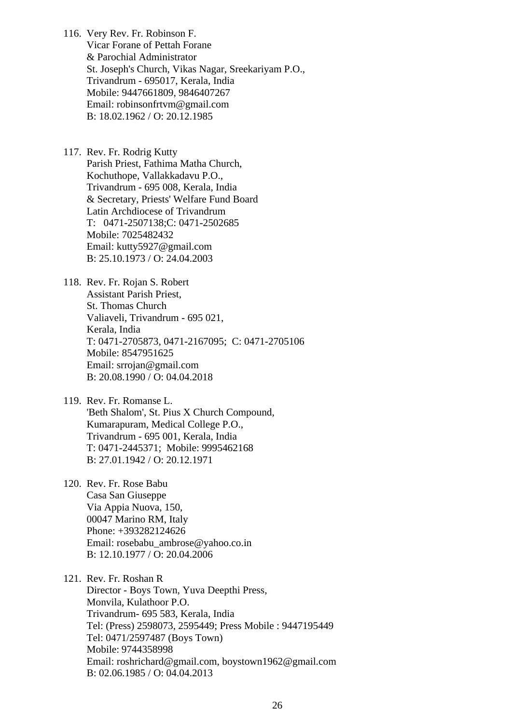116. Very Rev. Fr. Robinson F. Vicar Forane of Pettah Forane & Parochial Administrator St. Joseph's Church, Vikas Nagar, Sreekariyam P.O., Trivandrum - 695017, Kerala, India Mobile: 9447661809, 9846407267 Email: [robinsonfrtvm@gmail.com](mailto:robinsonfrtvm@gmail.com)  B: 18.02.1962 / O: 20.12.1985

117. Rev. Fr. Rodrig Kutty Parish Priest, Fathima Matha Church, Kochuthope, Vallakkadavu P.O., Trivandrum - 695 008, Kerala, India & Secretary, Priests' Welfare Fund Board Latin Archdiocese of Trivandrum T: 0471-2507138;C: 0471-2502685 Mobile: 7025482432 Email: [kutty5927@gmail.com](mailto:kutty5927@gmail.com)  B: 25.10.1973 / O: 24.04.2003

118. Rev. Fr. Rojan S. Robert Assistant Parish Priest, St. Thomas Church Valiaveli, Trivandrum - 695 021, Kerala, India T: 0471-2705873, 0471-2167095; C: 0471-2705106 Mobile: 8547951625 Email: [srrojan@gmail.com](mailto:srrojan@gmail.com) B: 20.08.1990 / O: 04.04.2018

119. Rev. Fr. Romanse L. 'Beth Shalom', St. Pius X Church Compound, Kumarapuram, Medical College P.O., Trivandrum - 695 001, Kerala, India T: 0471-2445371; Mobile: 9995462168 B: 27.01.1942 / O: 20.12.1971

120. Rev. Fr. Rose Babu Casa San Giuseppe Via Appia Nuova, 150, 00047 Marino RM, Italy Phone: +393282124626 Email: [rosebabu\\_ambrose@yahoo.co.in](mailto:rosebabu_ambrose@yahoo.co.in)  B: 12.10.1977 / O: 20.04.2006

121. Rev. Fr. Roshan R Director - Boys Town, Yuva Deepthi Press, Monvila, Kulathoor P.O. Trivandrum- 695 583, Kerala, India Tel: (Press) 2598073, 2595449; Press Mobile : 9447195449 Tel: 0471/2597487 (Boys Town) Mobile: 9744358998 Email: [roshrichard@gmail.com,](mailto:roshrichard@gmail.com) [boystown1962@gmail.com](mailto:boystown1962@gmail.com) B: 02.06.1985 / O: 04.04.2013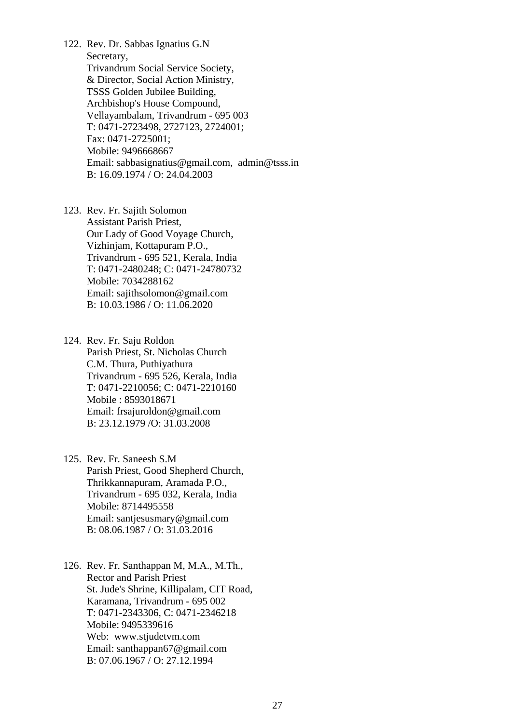122. Rev. Dr. Sabbas Ignatius G.N Secretary, Trivandrum Social Service Society, & Director, Social Action Ministry, TSSS Golden Jubilee Building, Archbishop's House Compound, Vellayambalam, Trivandrum - 695 003 T: 0471-2723498, 2727123, 2724001; Fax: 0471-2725001; Mobile: 9496668667 Email: [sabbasignatius@gmail.com,](mailto:sabbasignatius@gmail.com) [admin@tsss.in](mailto:admin@tsss.in)  B: 16.09.1974 / O: 24.04.2003

123. Rev. Fr. Sajith Solomon Assistant Parish Priest, Our Lady of Good Voyage Church, Vizhinjam, Kottapuram P.O., Trivandrum - 695 521, Kerala, India T: 0471-2480248; C: 0471-24780732 Mobile: 7034288162 Email: [sajithsolomon@gmail.com](mailto:sajithsolomon@gmail.com) B: 10.03.1986 / O: 11.06.2020

124. Rev. Fr. Saju Roldon Parish Priest, St. Nicholas Church C.M. Thura, Puthiyathura Trivandrum - 695 526, Kerala, India T: 0471-2210056; C: 0471-2210160 Mobile : 8593018671 Email: [frsajuroldon@gmail.com](mailto:frsajuroldon@gmail.com) B: 23.12.1979 /O: 31.03.2008

125. Rev. Fr. Saneesh S.M Parish Priest, Good Shepherd Church, Thrikkannapuram, Aramada P.O., Trivandrum - 695 032, Kerala, India Mobile: 8714495558 Email: [santjesusmary@gmail.com](mailto:santjesusmary@gmail.com)  B: 08.06.1987 / O: 31.03.2016

126. Rev. Fr. Santhappan M, M.A., M.Th., Rector and Parish Priest St. Jude's Shrine, Killipalam, CIT Road, Karamana, Trivandrum - 695 002 T: 0471-2343306, C: 0471-2346218 Mobile: 9495339616 Web: [www.stjudetvm.com](http://www.stjudetvm.com/)  Email: [santhappan67@gmail.com](mailto:santhappan67@gmail.com)  B: 07.06.1967 / O: 27.12.1994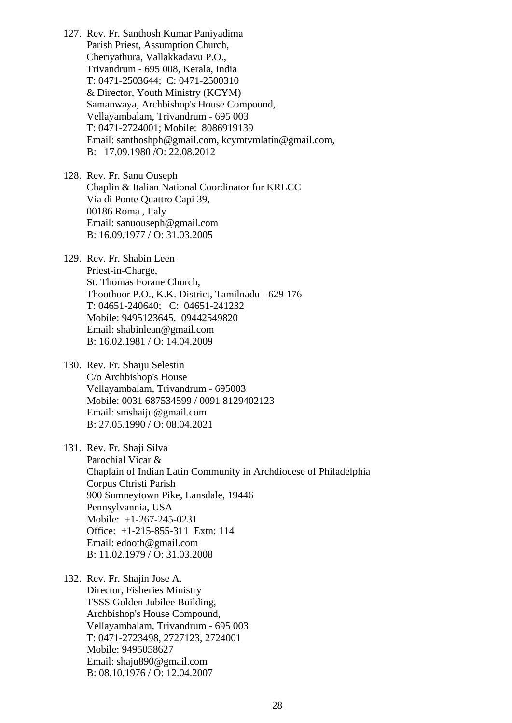127. Rev. Fr. Santhosh Kumar Paniyadima Parish Priest, Assumption Church, Cheriyathura, Vallakkadavu P.O., Trivandrum - 695 008, Kerala, India T: 0471-2503644; C: 0471-2500310 & Director, Youth Ministry (KCYM) Samanwaya, Archbishop's House Compound, Vellayambalam, Trivandrum - 695 003 T: 0471-2724001; Mobile: 8086919139 Email: [santhoshph@gmail.com,](mailto:santhoshph@gmail.com) [kcymtvmlatin@gmail.com,](mailto:kcymtvmlatin@gmail.com) B: 17.09.1980 /O: 22.08.2012

128. Rev. Fr. Sanu Ouseph Chaplin & Italian National Coordinator for KRLCC Via di Ponte Quattro Capi 39, 00186 Roma , Italy Email: [sanuouseph@gmail.com](mailto:sanuouseph@gmail.com)  B: 16.09.1977 / O: 31.03.2005

129. Rev. Fr. Shabin Leen Priest-in-Charge, St. Thomas Forane Church, Thoothoor P.O., K.K. District, Tamilnadu - 629 176 T: 04651-240640; C: 04651-241232 Mobile: 9495123645, 09442549820 Email: [shabinlean@gmail.com](mailto:shabinlean@gmail.com)  B: 16.02.1981 / O: 14.04.2009

130. Rev. Fr. Shaiju Selestin C/o Archbishop's House Vellayambalam, Trivandrum - 695003 Mobile: 0031 687534599 / 0091 8129402123 Email: smshaiju@gmail.com B: 27.05.1990 / O: 08.04.2021

131. Rev. Fr. Shaji Silva Parochial Vicar & Chaplain of Indian Latin Community in Archdiocese of Philadelphia Corpus Christi Parish 900 Sumneytown Pike, Lansdale, 19446 Pennsylvannia, USA Mobile: +1-267-245-0231 Office: +1-215-855-311 Extn: 114 Email: [edooth@gmail.com](mailto:edooth@gmail.com)  B: 11.02.1979 / O: 31.03.2008

132. Rev. Fr. Shajin Jose A. Director, Fisheries Ministry TSSS Golden Jubilee Building, Archbishop's House Compound, Vellayambalam, Trivandrum - 695 003 T: 0471-2723498, 2727123, 2724001 Mobile: 9495058627 Email: [shaju890@gmail.com](mailto:shaju890@gmail.com)  B: 08.10.1976 / O: 12.04.2007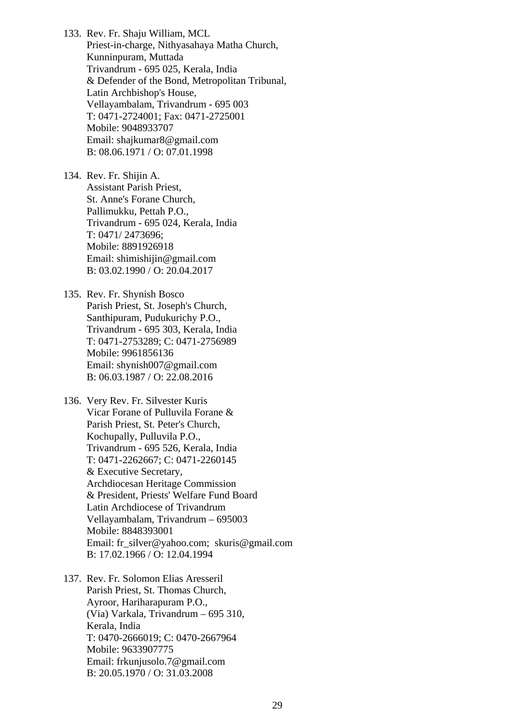133. Rev. Fr. Shaju William, MCL Priest-in-charge, Nithyasahaya Matha Church, Kunninpuram, Muttada Trivandrum - 695 025, Kerala, India & Defender of the Bond, Metropolitan Tribunal, Latin Archbishop's House, Vellayambalam, Trivandrum - 695 003 T: 0471-2724001; Fax: 0471-2725001 Mobile: 9048933707 Email: shajkumar8@gmail.com B: 08.06.1971 / O: 07.01.1998

134. Rev. Fr. Shijin A. Assistant Parish Priest, St. Anne's Forane Church, Pallimukku, Pettah P.O., Trivandrum - 695 024, Kerala, India T: 0471/ 2473696; Mobile: 8891926918 Email: [shimishijin@gmail.com](mailto:shimishijin@gmail.com)  B: 03.02.1990 / O: 20.04.2017

135. Rev. Fr. Shynish Bosco Parish Priest, St. Joseph's Church, Santhipuram, Pudukurichy P.O., Trivandrum - 695 303, Kerala, India T: 0471-2753289; C: 0471-2756989 Mobile: 9961856136 Email: [shynish007@gmail.com](mailto:shynish007@gmail.com)  B: 06.03.1987 / O: 22.08.2016

136. Very Rev. Fr. Silvester Kuris Vicar Forane of Pulluvila Forane & Parish Priest, St. Peter's Church, Kochupally, Pulluvila P.O., Trivandrum - 695 526, Kerala, India T: 0471-2262667; C: 0471-2260145 & Executive Secretary, Archdiocesan Heritage Commission & President, Priests' Welfare Fund Board Latin Archdiocese of Trivandrum Vellayambalam, Trivandrum – 695003 Mobile: 8848393001 Email: [fr\\_silver@yahoo.com](mailto:fr_silver@yahoo.com); skuris@gmail.com B: 17.02.1966 / O: 12.04.1994

137. Rev. Fr. Solomon Elias Aresseril Parish Priest, St. Thomas Church, Ayroor, Hariharapuram P.O., (Via) Varkala, Trivandrum – 695 310, Kerala, India T: 0470-2666019; C: 0470-2667964 Mobile: 9633907775 Email: [frkunjusolo.7@gmail.com](mailto:frkunjusolo.7@gmail.com)  B: 20.05.1970 / O: 31.03.2008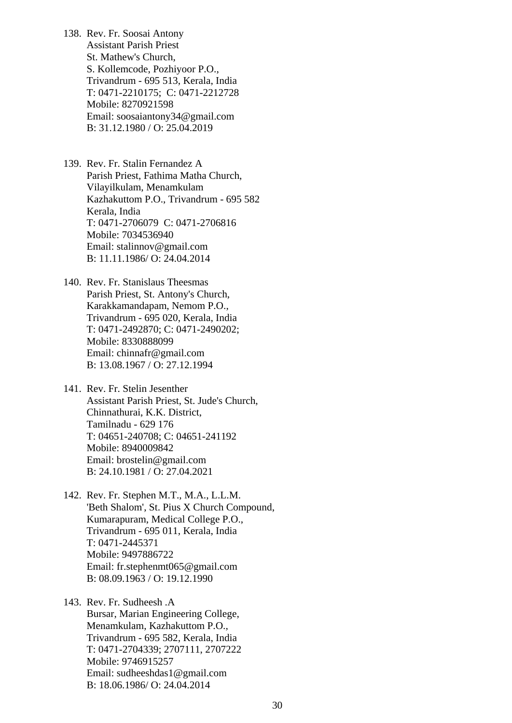138. Rev. Fr. Soosai Antony Assistant Parish Priest St. Mathew's Church, S. Kollemcode, Pozhiyoor P.O., Trivandrum - 695 513, Kerala, India T: 0471-2210175; C: 0471-2212728 Mobile: 8270921598 Email: soosaiantony34@gmail.com B: 31.12.1980 / O: 25.04.2019

139. Rev. Fr. Stalin Fernandez A Parish Priest, Fathima Matha Church, Vilayilkulam, Menamkulam Kazhakuttom P.O., Trivandrum - 695 582 Kerala, India T: 0471-2706079 C: 0471-2706816 Mobile: 7034536940 Email: [stalinnov@gmail.com](mailto:stalinnov@gmail.com)  B: 11.11.1986/ O: 24.04.2014

140. Rev. Fr. Stanislaus Theesmas Parish Priest, St. Antony's Church, Karakkamandapam, Nemom P.O., Trivandrum - 695 020, Kerala, India T: 0471-2492870; C: 0471-2490202; Mobile: 8330888099 Email: [chinnafr@gmail.com](mailto:chinnafr@gmail.com)  B: 13.08.1967 / O: 27.12.1994

141. Rev. Fr. Stelin Jesenther Assistant Parish Priest, St. Jude's Church, Chinnathurai, K.K. District, Tamilnadu - 629 176 T: 04651-240708; C: 04651-241192 Mobile: 8940009842 Email: brostelin@gmail.com B: 24.10.1981 / O: 27.04.2021

142. Rev. Fr. Stephen M.T., M.A., L.L.M. 'Beth Shalom', St. Pius X Church Compound, Kumarapuram, Medical College P.O., Trivandrum - 695 011, Kerala, India T: 0471-2445371 Mobile: 9497886722 Email: [fr.stephenmt065@gmail.com](mailto:fr.stephenmt065@gmail.com)  B: 08.09.1963 / O: 19.12.1990

143. Rev. Fr. Sudheesh .A Bursar, Marian Engineering College, Menamkulam, Kazhakuttom P.O., Trivandrum - 695 582, Kerala, India T: 0471-2704339; 2707111, 2707222 Mobile: 9746915257 Email: [sudheeshdas1@gmail.com](mailto:sudheeshdas1@gmail.com)  B: 18.06.1986/ O: 24.04.2014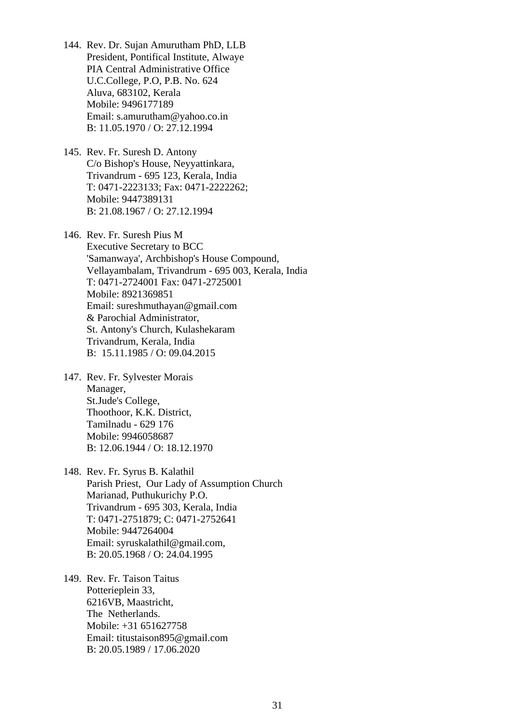- 144. Rev. Dr. Sujan Amurutham PhD, LLB President, Pontifical Institute, Alwaye PIA Central Administrative Office U.C.College, P.O, P.B. No. 624 Aluva, 683102, Kerala Mobile: 9496177189 Email: [s.amurutham@yahoo.co.in](mailto:s.amurutham@yahoo.co.in) B: 11.05.1970 / O: 27.12.1994
- 145. Rev. Fr. Suresh D. Antony C/o Bishop's House, Neyyattinkara, Trivandrum - 695 123, Kerala, India T: 0471-2223133; Fax: 0471-2222262; Mobile: 9447389131 B: 21.08.1967 / O: 27.12.1994

146. Rev. Fr. Suresh Pius M Executive Secretary to BCC 'Samanwaya', Archbishop's House Compound, Vellayambalam, Trivandrum - 695 003, Kerala, India T: 0471-2724001 Fax: 0471-2725001 Mobile: 8921369851 Email: sureshmuthayan[@gmail.com](mailto:sudheeshdas1@gmail.com)  & Parochial Administrator, St. Antony's Church, Kulashekaram Trivandrum, Kerala, India B: 15.11.1985 / O: 09.04.2015

- 147. Rev. Fr. Sylvester Morais Manager, St.Jude's College, Thoothoor, K.K. District, Tamilnadu - 629 176 Mobile: 9946058687 B: 12.06.1944 / O: 18.12.1970
- 148. Rev. Fr. Syrus B. Kalathil Parish Priest, Our Lady of Assumption Church Marianad, Puthukurichy P.O. Trivandrum - 695 303, Kerala, India T: 0471-2751879; C: 0471-2752641 Mobile: 9447264004 Email: [syruskalathil@gmail.com](mailto:syruskalathil@gmail.com), B: 20.05.1968 / O: 24.04.1995
- 149. Rev. Fr. Taison Taitus Potterieplein 33, 6216VB, Maastricht, The Netherlands. Mobile: +31 651627758 Email: [titustaison895@gmail.com](mailto:titustaison895@gmail.com) B: 20.05.1989 / 17.06.2020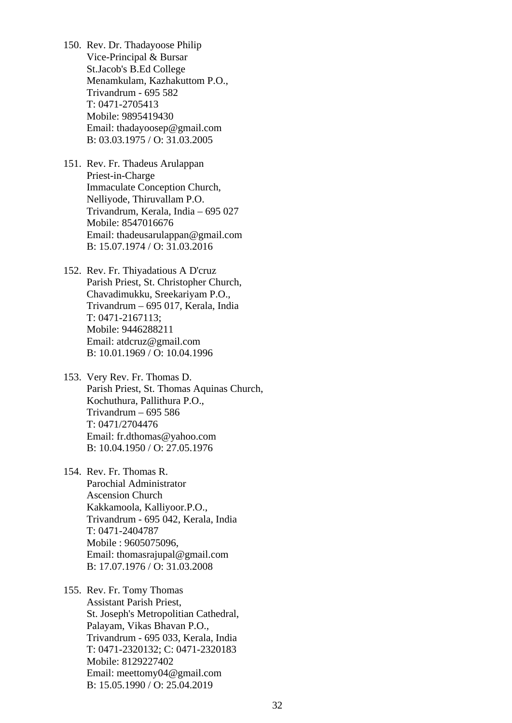- 150. Rev. Dr. Thadayoose Philip Vice-Principal & Bursar St.Jacob's B.Ed College Menamkulam, Kazhakuttom P.O., Trivandrum - 695 582 T: 0471-2705413 Mobile: 9895419430 Email: thadayoosep@gmail.com B: 03.03.1975 / O: 31.03.2005
- 151. Rev. Fr. Thadeus Arulappan Priest-in-Charge Immaculate Conception Church, Nelliyode, Thiruvallam P.O. Trivandrum, Kerala, India – 695 027 Mobile: 8547016676 Email: [thadeusarulappan@gmail.com](mailto:thadeusarulappan@gmail.com)  B: 15.07.1974 / O: 31.03.2016
- 152. Rev. Fr. Thiyadatious A D'cruz Parish Priest, St. Christopher Church, Chavadimukku, Sreekariyam P.O., Trivandrum – 695 017, Kerala, India T: 0471-2167113; Mobile: 9446288211 Email: [atdcruz@gmail.com](mailto:atdcruz@gmail.com)  B: 10.01.1969 / O: 10.04.1996
- 153. Very Rev. Fr. Thomas D. Parish Priest, St. Thomas Aquinas Church, Kochuthura, Pallithura P.O., Trivandrum – 695 586 T: 0471/2704476 Email: [fr.dthomas@yahoo.com](mailto:fr.dthomas@yahoo.com)  B: 10.04.1950 / O: 27.05.1976
- 154. Rev. Fr. Thomas R. Parochial Administrator Ascension Church Kakkamoola, Kalliyoor.P.O., Trivandrum - 695 042, Kerala, India T: 0471-2404787 Mobile : 9605075096, Email: [thomasrajupal@gmail.com](mailto:thomasrajupal@gmail.com)  B: 17.07.1976 / O: 31.03.2008
- 155. Rev. Fr. Tomy Thomas Assistant Parish Priest, St. Joseph's Metropolitian Cathedral, Palayam, Vikas Bhavan P.O., Trivandrum - 695 033, Kerala, India T: 0471-2320132; C: 0471-2320183 Mobile: 8129227402 Email: [meettomy04@gmail.com](mailto:meettomy04@gmail.com)  B: 15.05.1990 / O: 25.04.2019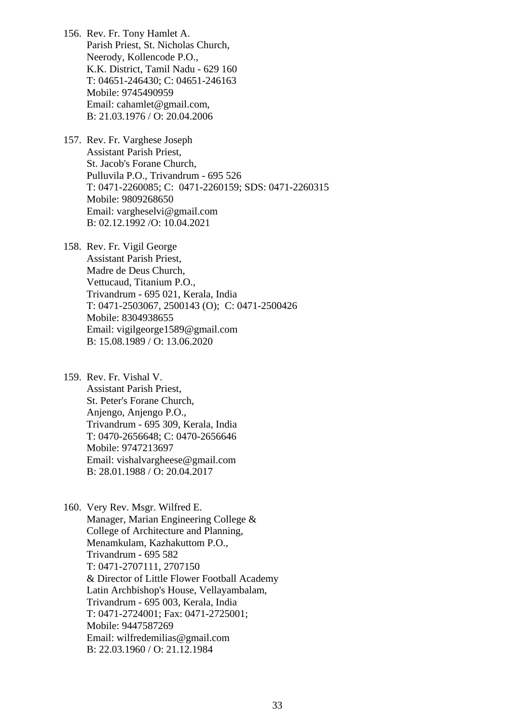- 156. Rev. Fr. Tony Hamlet A. Parish Priest, St. Nicholas Church, Neerody, Kollencode P.O., K.K. District, Tamil Nadu - 629 160 T: 04651-246430; C: 04651-246163 Mobile: 9745490959 Email: [cahamlet@gmail.com](mailto:cahamlet@gmail.com), B: 21.03.1976 / O: 20.04.2006
- 157. Rev. Fr. Varghese Joseph Assistant Parish Priest, St. Jacob's Forane Church, Pulluvila P.O., Trivandrum - 695 526 T: 0471-2260085; C: 0471-2260159; SDS: 0471-2260315 Mobile: 9809268650 Email: vargheselvi@gmail.com B: 02.12.1992 /O: 10.04.2021
- 158. Rev. Fr. Vigil George Assistant Parish Priest, Madre de Deus Church, Vettucaud, Titanium P.O., Trivandrum - 695 021, Kerala, India T: 0471-2503067, 2500143 (O); C: 0471-2500426 Mobile: 8304938655 Email: [vigilgeorge1589@gmail.com](mailto:vigilgeorge1589@gmail.com) B: 15.08.1989 / O: 13.06.2020
- 159. Rev. Fr. Vishal V. Assistant Parish Priest, St. Peter's Forane Church, Anjengo, Anjengo P.O., Trivandrum - 695 309, Kerala, India T: 0470-2656648; C: 0470-2656646 Mobile: 9747213697 Email: [vishalvargheese@gmail.com](mailto:vishalvargheese@gmail.com)  B: 28.01.1988 / O: 20.04.2017

160. Very Rev. Msgr. Wilfred E. Manager, Marian Engineering College & College of Architecture and Planning, Menamkulam, Kazhakuttom P.O., Trivandrum - 695 582 T: 0471-2707111, 2707150 & Director of Little Flower Football Academy Latin Archbishop's House, Vellayambalam, Trivandrum - 695 003, Kerala, India T: 0471-2724001; Fax: 0471-2725001; Mobile: 9447587269 Email: [wilfredemilias@gmail.com](mailto:wilfredemilias@gmail.com)  B: 22.03.1960 / O: 21.12.1984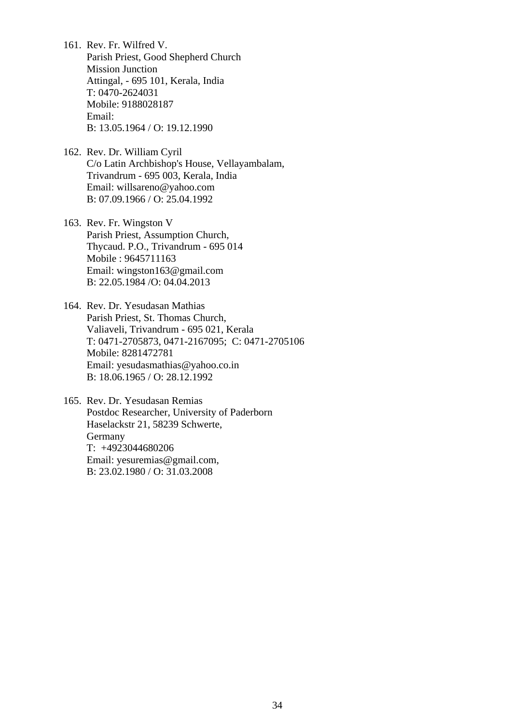- 161. Rev. Fr. Wilfred V. Parish Priest, Good Shepherd Church Mission Junction Attingal, - 695 101, Kerala, India T: 0470-2624031 Mobile: 9188028187 Email: B: 13.05.1964 / O: 19.12.1990
- 162. Rev. Dr. William Cyril C/o Latin Archbishop's House, Vellayambalam, Trivandrum - 695 003, Kerala, India Email: [willsareno@yahoo.com](mailto:willsareno@yahoo.com)  B: 07.09.1966 / O: 25.04.1992
- 163. Rev. Fr. Wingston V Parish Priest, Assumption Church, Thycaud. P.O., Trivandrum - 695 014 Mobile : 9645711163 Email: [wingston163@gmail.com](mailto:wingston163@gmail.com)  B: 22.05.1984 /O: 04.04.2013
- 164. Rev. Dr. Yesudasan Mathias Parish Priest, St. Thomas Church, Valiaveli, Trivandrum - 695 021, Kerala T: 0471-2705873, 0471-2167095; C: 0471-2705106 Mobile: 8281472781 Email: [yesudasmathias@yahoo.co.in](mailto:yesudasmathias@yahoo.co.in) B: 18.06.1965 / O: 28.12.1992

165. Rev. Dr. Yesudasan Remias Postdoc Researcher, University of Paderborn Haselackstr 21, 58239 Schwerte, Germany T: +4923044680206 Email: [yesuremias@gmail.com,](mailto:yesuremias@gmail.com) B: 23.02.1980 / O: 31.03.2008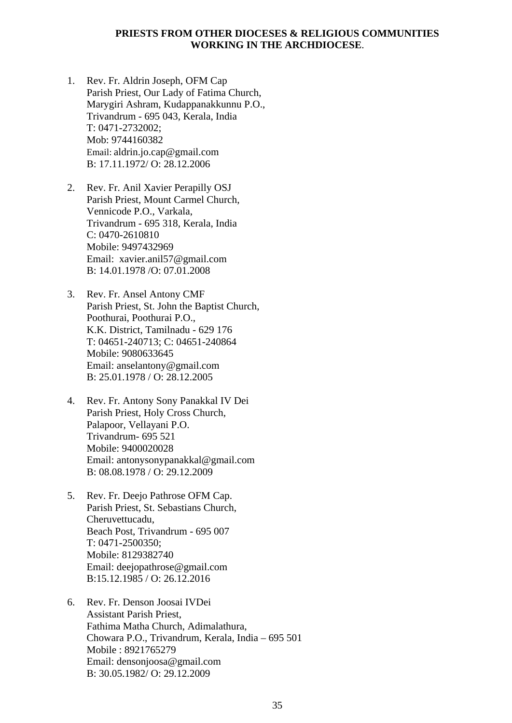### **PRIESTS FROM OTHER DIOCESES & RELIGIOUS COMMUNITIES WORKING IN THE ARCHDIOCESE**.

- 1. Rev. Fr. Aldrin Joseph, OFM Cap Parish Priest, Our Lady of Fatima Church, Marygiri Ashram, Kudappanakkunnu P.O., Trivandrum - 695 043, Kerala, India T: 0471-2732002; Mob: 9744160382 Email: [aldrin.jo.cap@gmail.com](mailto:aldrin.jo.cap@gmail.com)  B: 17.11.1972/ O: 28.12.2006
- 2. Rev. Fr. Anil Xavier Perapilly OSJ Parish Priest, Mount Carmel Church, Vennicode P.O., Varkala, Trivandrum - 695 318, Kerala, India C: 0470-2610810 Mobile: 9497432969 Email: xavier.anil57@gmail.com B: 14.01.1978 /O: 07.01.2008
- 3. Rev. Fr. Ansel Antony CMF Parish Priest, St. John the Baptist Church, Poothurai, Poothurai P.O., K.K. District, Tamilnadu - 629 176 T: 04651-240713; C: 04651-240864 Mobile: 9080633645 Email: [anselantony@gmail.com](mailto:anselantony@gmail.com)  B: 25.01.1978 / O: 28.12.2005
- 4. Rev. Fr. Antony Sony Panakkal IV Dei Parish Priest, Holy Cross Church, Palapoor, Vellayani P.O. Trivandrum- 695 521 Mobile: 9400020028 Email: antonysonypanakka[l@gmail.com](mailto:lantony2003@gmail.com)  B: 08.08.1978 / O: 29.12.2009
- 5. Rev. Fr. Deejo Pathrose OFM Cap. Parish Priest, St. Sebastians Church, Cheruvettucadu, Beach Post, Trivandrum - 695 007 T: 0471-2500350; Mobile: 8129382740 Email: [deejopathrose@gmail.com](mailto:deejopathrose@gmail.com)  B:15.12.1985 / O: 26.12.2016
- 6. Rev. Fr. Denson Joosai IVDei Assistant Parish Priest, Fathima Matha Church, Adimalathura, Chowara P.O., Trivandrum, Kerala, India – 695 501 Mobile : 8921765279 Email: [densonjoosa@gmail.com](mailto:densonjoosa@gmail.com)  B: 30.05.1982/ O: 29.12.2009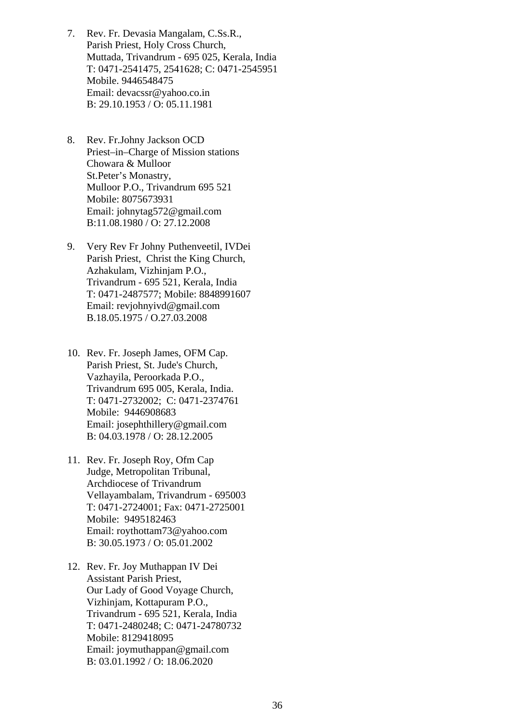- 7. Rev. Fr. Devasia Mangalam, C.Ss.R., Parish Priest, Holy Cross Church, Muttada, Trivandrum - 695 025, Kerala, India T: 0471-2541475, 2541628; C: 0471-2545951 Mobile. 9446548475 Email: [devacssr@yahoo.co.in](mailto:devacssr@yahoo.co.in)  B: 29.10.1953 / O: 05.11.1981
- 8. Rev. Fr.Johny Jackson OCD Priest–in–Charge of Mission stations Chowara & Mulloor St.Peter's Monastry, Mulloor P.O., Trivandrum 695 521 Mobile: 8075673931 Email: johnytag572@gmail.com B:11.08.1980 / O: 27.12.2008
- 9. Very Rev Fr Johny Puthenveetil, IVDei Parish Priest, Christ the King Church, Azhakulam, Vizhinjam P.O., Trivandrum - 695 521, Kerala, India T: 0471-2487577; Mobile: 8848991607 Email: [revjohnyivd@gmail.com](mailto:revjohnyivd@gmail.com)  B.18.05.1975 / O.27.03.2008
- 10. Rev. Fr. Joseph James, OFM Cap. Parish Priest, St. Jude's Church, Vazhayila, Peroorkada P.O., Trivandrum 695 005, Kerala, India. T: 0471-2732002; C: 0471-2374761 Mobile: 9446908683 Email: josephthillery[@gmail.com](mailto:lantony2003@gmail.com)  B: 04.03.1978 / O: 28.12.2005
- 11. Rev. Fr. Joseph Roy, Ofm Cap Judge, Metropolitan Tribunal, Archdiocese of Trivandrum Vellayambalam, Trivandrum - 695003 T: 0471-2724001; Fax: 0471-2725001 Mobile: 9495182463 Email: [roythottam73@yahoo.com](mailto:roythottam73@yahoo.com)  B: 30.05.1973 / O: 05.01.2002
- 12. Rev. Fr. Joy Muthappan IV Dei Assistant Parish Priest, Our Lady of Good Voyage Church, Vizhinjam, Kottapuram P.O., Trivandrum - 695 521, Kerala, India T: 0471-2480248; C: 0471-24780732 Mobile: 8129418095 Email: [joymuthappan@gmail.com](mailto:joymuthappan@gmail.com) B: 03.01.1992 / O: 18.06.2020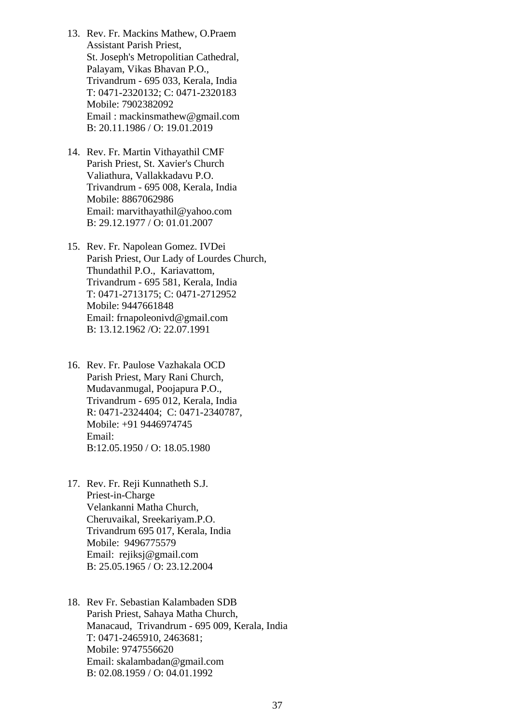- 13. Rev. Fr. Mackins Mathew, O.Praem Assistant Parish Priest, St. Joseph's Metropolitian Cathedral, Palayam, Vikas Bhavan P.O., Trivandrum - 695 033, Kerala, India T: 0471-2320132; C: 0471-2320183 Mobile: 7902382092 Email : mackinsmathew@gmail.com B: 20.11.1986 / O: 19.01.2019
- 14. Rev. Fr. Martin Vithayathil CMF Parish Priest, St. Xavier's Church Valiathura, Vallakkadavu P.O. Trivandrum - 695 008, Kerala, India Mobile: 8867062986 Email: marvithayathil@yahoo.com B: 29.12.1977 / O: 01.01.2007
- 15. Rev. Fr. Napolean Gomez. IVDei Parish Priest, Our Lady of Lourdes Church, Thundathil P.O., Kariavattom, Trivandrum - 695 581, Kerala, India T: 0471-2713175; C: 0471-2712952 Mobile: 9447661848 Email: frnapoleonivd@gmail.com B: 13.12.1962 /O: 22.07.1991
- 16. Rev. Fr. Paulose Vazhakala OCD Parish Priest, Mary Rani Church, Mudavanmugal, Poojapura P.O., Trivandrum - 695 012, Kerala, India R: 0471-2324404; C: 0471-2340787, Mobile: +91 9446974745 Email: B:12.05.1950 / O: 18.05.1980
- 17. Rev. Fr. Reji Kunnatheth S.J. Priest-in-Charge Velankanni Matha Church, Cheruvaikal, Sreekariyam.P.O. Trivandrum 695 017, Kerala, India Mobile: 9496775579 Email: [rejiksj@gmail.com](mailto:rejiksj@gmail.com)  B: 25.05.1965 / O: 23.12.2004
- 18. Rev Fr. Sebastian Kalambaden SDB Parish Priest, Sahaya Matha Church, Manacaud, Trivandrum - 695 009, Kerala, India T: 0471-2465910, 2463681; Mobile: 9747556620 Email: [skalambadan@gmail.com](mailto:skalambadan@gmail.com)  B: 02.08.1959 / O: 04.01.1992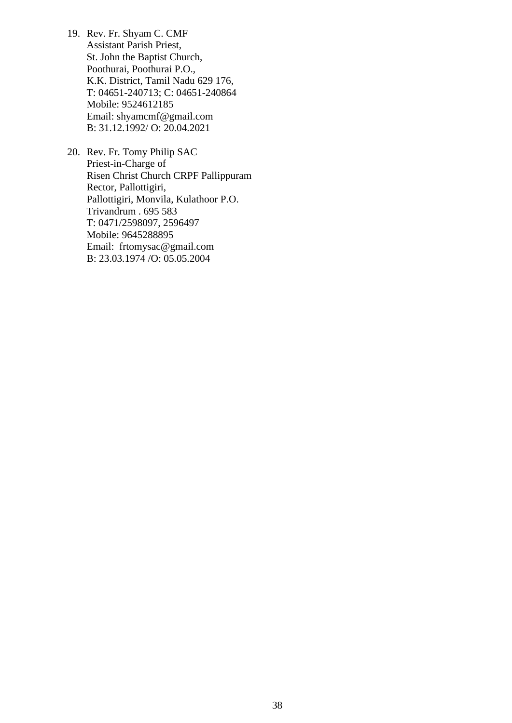- 19. Rev. Fr. Shyam C. CMF Assistant Parish Priest, St. John the Baptist Church, Poothurai, Poothurai P.O., K.K. District, Tamil Nadu 629 176, T: 04651-240713; C: 04651-240864 Mobile: 9524612185 Email: shyamcmf@gmail.com B: 31.12.1992/ O: 20.04.2021
- 20. Rev. Fr. Tomy Philip SAC Priest-in-Charge of Risen Christ Church CRPF Pallippuram Rector, Pallottigiri, Pallottigiri, Monvila, Kulathoor P.O. Trivandrum . 695 583 T: 0471/2598097, 2596497 Mobile: 9645288895 Email: [frtomysac@gmail.com](mailto:frtomysac@gmail.com)  B: 23.03.1974 /O: 05.05.2004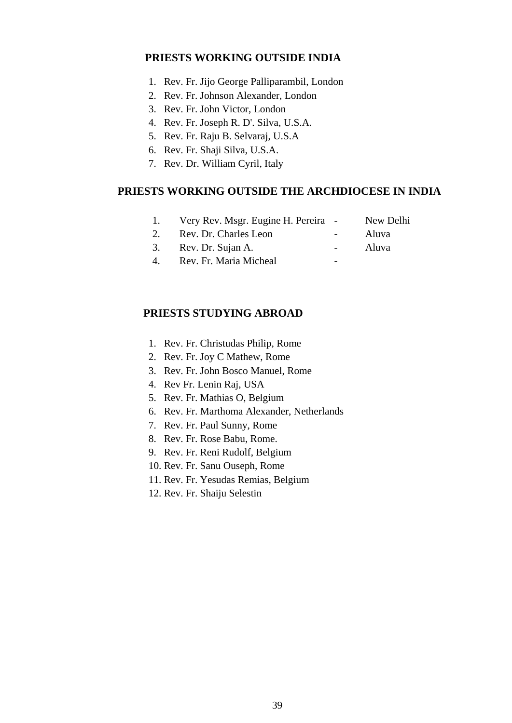### **PRIESTS WORKING OUTSIDE INDIA**

- 1. Rev. Fr. Jijo George Palliparambil, London
- 2. Rev. Fr. Johnson Alexander, London
- 3. Rev. Fr. John Victor, London
- 4. Rev. Fr. Joseph R. D'. Silva, U.S.A.
- 5. Rev. Fr. Raju B. Selvaraj, U.S.A
- 6. Rev. Fr. Shaji Silva, U.S.A.
- 7. Rev. Dr. William Cyril, Italy

### **PRIESTS WORKING OUTSIDE THE ARCHDIOCESE IN INDIA**

- 1. Very Rev. Msgr. Eugine H. Pereira New Delhi 2. Rev. Dr. Charles Leon - Aluva
- 
- 3. Rev. Dr. Sujan A. Aluva
- 4. Rev. Fr. Maria Micheal -

### **PRIESTS STUDYING ABROAD**

- 1. Rev. Fr. Christudas Philip, Rome
- 2. Rev. Fr. Joy C Mathew, Rome
- 3. Rev. Fr. John Bosco Manuel, Rome
- 4. Rev Fr. Lenin Raj, USA
- 5. Rev. Fr. Mathias O, Belgium
- 6. Rev. Fr. Marthoma Alexander, Netherlands
- 7. Rev. Fr. Paul Sunny, Rome
- 8. Rev. Fr. Rose Babu, Rome.
- 9. Rev. Fr. Reni Rudolf, Belgium
- 10. Rev. Fr. Sanu Ouseph, Rome
- 11. Rev. Fr. Yesudas Remias, Belgium
- 12. Rev. Fr. Shaiju Selestin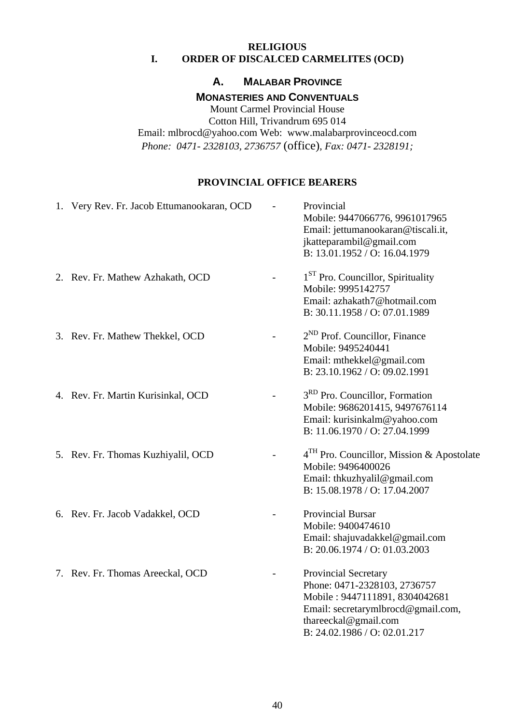### **RELIGIOUS I. ORDER OF DISCALCED CARMELITES (OCD)**

### **A. MALABAR PROVINCE**

### **MONASTERIES AND CONVENTUALS**

Mount Carmel Provincial House Cotton Hill, Trivandrum 695 014 Email: [mlbrocd@yahoo.com](mailto:mlbrocd@yahoo.com) Web: www.malabarprovinceocd.com *Phone: 0471- 2328103, 2736757* (office)*, Fax: 0471- 2328191;* 

### **PROVINCIAL OFFICE BEARERS**

| 1. Very Rev. Fr. Jacob Ettumanookaran, OCD | Provincial<br>Mobile: 9447066776, 9961017965<br>Email: jettumanookaran@tiscali.it,<br>jkatteparambil@gmail.com<br>B: 13.01.1952 / O: 16.04.1979                                      |
|--------------------------------------------|--------------------------------------------------------------------------------------------------------------------------------------------------------------------------------------|
| 2. Rev. Fr. Mathew Azhakath, OCD           | $1ST$ Pro. Councillor, Spirituality<br>Mobile: 9995142757<br>Email: azhakath7@hotmail.com<br>B: 30.11.1958 / O: 07.01.1989                                                           |
| 3. Rev. Fr. Mathew Thekkel, OCD            | 2 <sup>ND</sup> Prof. Councillor, Finance<br>Mobile: 9495240441<br>Email: mthekkel@gmail.com<br>B: 23.10.1962 / O: 09.02.1991                                                        |
| 4. Rev. Fr. Martin Kurisinkal, OCD         | 3 <sup>RD</sup> Pro. Councillor, Formation<br>Mobile: 9686201415, 9497676114<br>Email: kurisinkalm@yahoo.com<br>B: 11.06.1970 / O: 27.04.1999                                        |
| 5. Rev. Fr. Thomas Kuzhiyalil, OCD         | 4 <sup>TH</sup> Pro. Councillor, Mission & Apostolate<br>Mobile: 9496400026<br>Email: thkuzhyalil@gmail.com<br>B: 15.08.1978 / O: 17.04.2007                                         |
| 6. Rev. Fr. Jacob Vadakkel, OCD            | <b>Provincial Bursar</b><br>Mobile: 9400474610<br>Email: shajuvadakkel@gmail.com<br>B: 20.06.1974 / O: 01.03.2003                                                                    |
| 7. Rev. Fr. Thomas Areeckal, OCD           | Provincial Secretary<br>Phone: 0471-2328103, 2736757<br>Mobile: 9447111891, 8304042681<br>Email: secretarymlbrocd@gmail.com,<br>thareeckal@gmail.com<br>B: 24.02.1986 / O: 02.01.217 |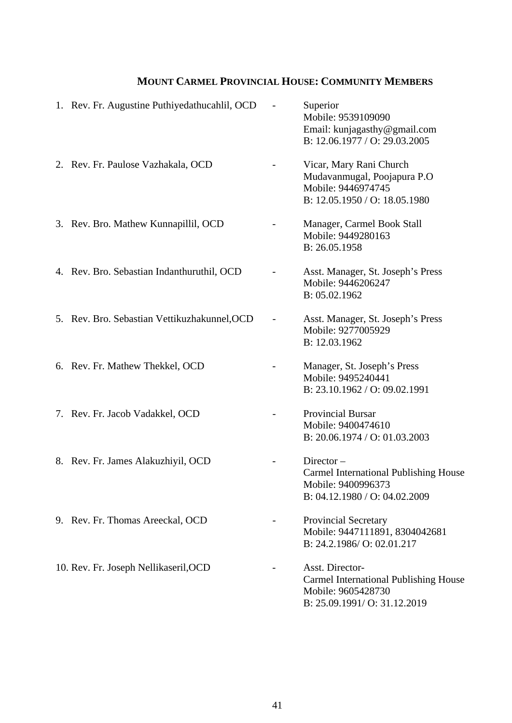# **MOUNT CARMEL PROVINCIAL HOUSE: COMMUNITY MEMBERS**

| 1. Rev. Fr. Augustine Puthiyedathucahlil, OCD | Superior<br>Mobile: 9539109090<br>Email: kunjagasthy@gmail.com<br>B: 12.06.1977 / O: 29.03.2005                      |
|-----------------------------------------------|----------------------------------------------------------------------------------------------------------------------|
| 2. Rev. Fr. Paulose Vazhakala, OCD            | Vicar, Mary Rani Church<br>Mudavanmugal, Poojapura P.O<br>Mobile: 9446974745<br>B: 12.05.1950 / O: 18.05.1980        |
| 3. Rev. Bro. Mathew Kunnapillil, OCD          | Manager, Carmel Book Stall<br>Mobile: 9449280163<br>B: 26.05.1958                                                    |
| 4. Rev. Bro. Sebastian Indanthuruthil, OCD    | Asst. Manager, St. Joseph's Press<br>Mobile: 9446206247<br>B: 05.02.1962                                             |
| 5. Rev. Bro. Sebastian Vettikuzhakunnel, OCD  | Asst. Manager, St. Joseph's Press<br>Mobile: 9277005929<br>B: 12.03.1962                                             |
| 6. Rev. Fr. Mathew Thekkel, OCD               | Manager, St. Joseph's Press<br>Mobile: 9495240441<br>B: 23.10.1962 / O: 09.02.1991                                   |
| 7. Rev. Fr. Jacob Vadakkel, OCD               | <b>Provincial Bursar</b><br>Mobile: 9400474610<br>B: 20.06.1974 / O: 01.03.2003                                      |
| 8. Rev. Fr. James Alakuzhiyil, OCD            | $Director -$<br><b>Carmel International Publishing House</b><br>Mobile: 9400996373<br>B: 04.12.1980 / O: 04.02.2009  |
| 9. Rev. Fr. Thomas Areeckal, OCD              | <b>Provincial Secretary</b><br>Mobile: 9447111891, 8304042681<br>B: 24.2.1986/ O: 02.01.217                          |
| 10. Rev. Fr. Joseph Nellikaseril, OCD         | Asst. Director-<br><b>Carmel International Publishing House</b><br>Mobile: 9605428730<br>B: 25.09.1991/O: 31.12.2019 |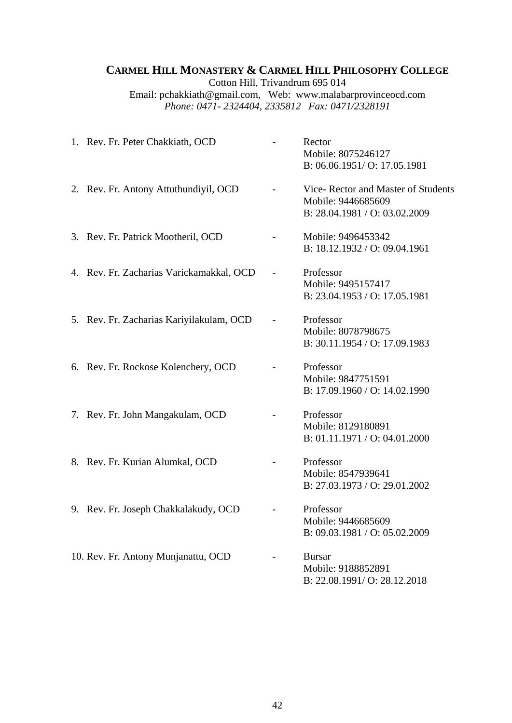## **CARMEL HILL MONASTERY & CARMEL HILL PHILOSOPHY COLLEGE**

Cotton Hill, Trivandrum 695 014 [Email: pchakkiath@gmail.com](mailto:pchakkiath@gmail.com), Web: www.malabarprovinceocd.com *Phone: 0471- 2324404, 2335812 Fax: 0471/2328191* 

| 1. Rev. Fr. Peter Chakkiath, OCD         | Rector<br>Mobile: 8075246127<br>B: 06.06.1951/ O: 17.05.1981                              |
|------------------------------------------|-------------------------------------------------------------------------------------------|
| 2. Rev. Fr. Antony Attuthundiyil, OCD    | Vice-Rector and Master of Students<br>Mobile: 9446685609<br>B: 28.04.1981 / O: 03.02.2009 |
| 3. Rev. Fr. Patrick Mootheril, OCD       | Mobile: 9496453342<br>B: 18.12.1932 / O: 09.04.1961                                       |
| 4. Rev. Fr. Zacharias Varickamakkal, OCD | Professor<br>Mobile: 9495157417<br>B: 23.04.1953 / O: 17.05.1981                          |
| 5. Rev. Fr. Zacharias Kariyilakulam, OCD | Professor<br>Mobile: 8078798675<br>B: 30.11.1954 / O: 17.09.1983                          |
| 6. Rev. Fr. Rockose Kolenchery, OCD      | Professor<br>Mobile: 9847751591<br>B: 17.09.1960 / O: 14.02.1990                          |
| 7. Rev. Fr. John Mangakulam, OCD         | Professor<br>Mobile: 8129180891<br>B: 01.11.1971 / O: 04.01.2000                          |
| 8. Rev. Fr. Kurian Alumkal, OCD          | Professor<br>Mobile: 8547939641<br>B: 27.03.1973 / O: 29.01.2002                          |
| 9. Rev. Fr. Joseph Chakkalakudy, OCD     | Professor<br>Mobile: 9446685609<br>B: 09.03.1981 / O: 05.02.2009                          |
| 10. Rev. Fr. Antony Munjanattu, OCD      | <b>Bursar</b><br>Mobile: 9188852891<br>B: 22.08.1991/O: 28.12.2018                        |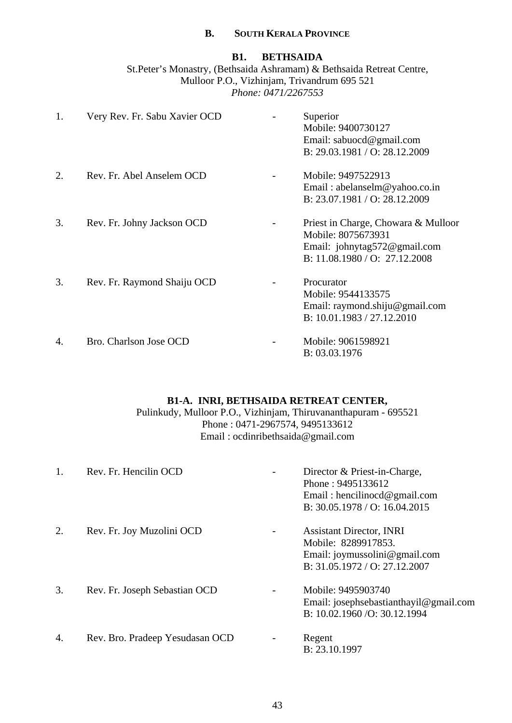### **B. SOUTH KERALA PROVINCE**

### **B1. BETHSAIDA**

St.Peter's Monastry, (Bethsaida Ashramam) & Bethsaida Retreat Centre, Mulloor P.O., Vizhinjam, Trivandrum 695 521 *Phone: 0471/2267553*

| 1. | Very Rev. Fr. Sabu Xavier OCD | Superior<br>Mobile: 9400730127<br>Email: sabuocd@gmail.com<br>B: 29.03.1981 / O: 28.12.2009                                   |
|----|-------------------------------|-------------------------------------------------------------------------------------------------------------------------------|
| 2. | Rev. Fr. Abel Anselem OCD     | Mobile: 9497522913<br>Email: abelanselm@yahoo.co.in<br>B: 23.07.1981 / O: 28.12.2009                                          |
| 3. | Rev. Fr. Johny Jackson OCD    | Priest in Charge, Chowara & Mulloor<br>Mobile: 8075673931<br>Email: johnytag572@gmail.com<br>B: $11.08.1980 / O$ : 27.12.2008 |
| 3. | Rev. Fr. Raymond Shaiju OCD   | Procurator<br>Mobile: 9544133575<br>Email: raymond.shiju@gmail.com<br>B: 10.01.1983 / 27.12.2010                              |
| 4. | Bro. Charlson Jose OCD        | Mobile: 9061598921<br>B: 03.03.1976                                                                                           |

### **B1-A. INRI, BETHSAIDA RETREAT CENTER,**

Pulinkudy, Mulloor P.O., Vizhinjam, Thiruvananthapuram - 695521 Phone : 0471-2967574, 9495133612 Email : [ocdinribethsaida@gmail.com](mailto:ocdinribethsaida@gmail.com) 

| 1. | Rev. Fr. Hencilin OCD           | Director & Priest-in-Charge,<br>Phone: 9495133612<br>Email: hencilinocd@gmail.com<br>B: $30.05.1978 / O: 16.04.2015$     |
|----|---------------------------------|--------------------------------------------------------------------------------------------------------------------------|
| 2. | Rev. Fr. Joy Muzolini OCD       | <b>Assistant Director, INRI</b><br>Mobile: 8289917853.<br>Email: joymussolini@gmail.com<br>B: 31.05.1972 / O: 27.12.2007 |
| 3. | Rev. Fr. Joseph Sebastian OCD   | Mobile: 9495903740<br>Email: josephsebastianthayil@gmail.com<br>B: 10.02.1960 / O: 30.12.1994                            |
| 4. | Rev. Bro. Pradeep Yesudasan OCD | Regent<br>B: 23.10.1997                                                                                                  |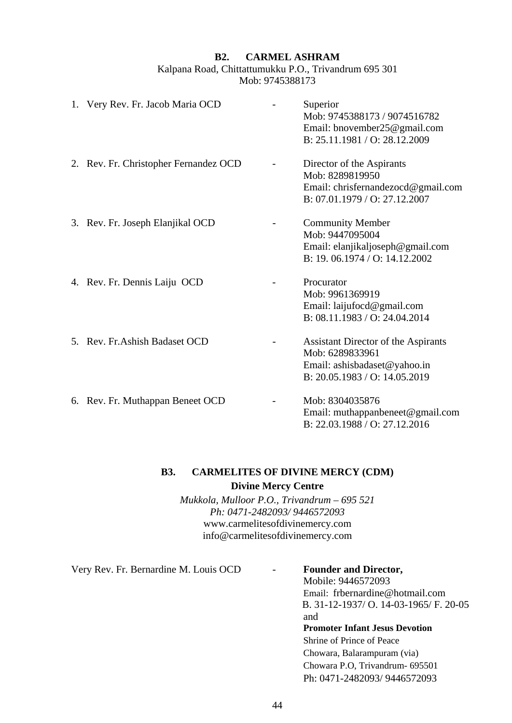### **B2. CARMEL ASHRAM**

Kalpana Road, Chittattumukku P.O., Trivandrum 695 301 Mob: 9745388173

| 1. Very Rev. Fr. Jacob Maria OCD      | Superior<br>Mob: 9745388173 / 9074516782<br>Email: bnovember25@gmail.com<br>B: 25.11.1981 / O: 28.12.2009               |
|---------------------------------------|-------------------------------------------------------------------------------------------------------------------------|
| 2. Rev. Fr. Christopher Fernandez OCD | Director of the Aspirants<br>Mob: 8289819950<br>Email: chrisfernandezocd@gmail.com<br>B: 07.01.1979 / O: 27.12.2007     |
| 3. Rev. Fr. Joseph Elanjikal OCD      | <b>Community Member</b><br>Mob: 9447095004<br>Email: elanjikaljoseph@gmail.com<br>B: 19, 06.1974 / O: 14.12.2002        |
| 4. Rev. Fr. Dennis Laiju OCD          | Procurator<br>Mob: 9961369919<br>Email: laijufocd@gmail.com<br>B: 08.11.1983 / O: 24.04.2014                            |
| 5. Rev. Fr. Ashish Badaset OCD        | Assistant Director of the Aspirants<br>Mob: 6289833961<br>Email: ashisbadaset@yahoo.in<br>B: 20.05.1983 / O: 14.05.2019 |
| 6. Rev. Fr. Muthappan Beneet OCD      | Mob: 8304035876<br>Email: muthappanbeneet@gmail.com<br>B: 22.03.1988 / O: 27.12.2016                                    |

### **B3. CARMELITES OF DIVINE MERCY (CDM) Divine Mercy Centre**

*Mukkola, Mulloor P.O., Trivandrum – 695 521 Ph: 0471-2482093/ 9446572093*  [www.carmelitesofdivinemercy.com](http://www.carmelitesofdivinemercy.com/)  [info@carmelitesofdivinemercy.com](mailto:info@carmelitesofdivinemercy.com) 

Very Rev. Fr. Bernardine M. Louis OCD - **Founder and Director,** 

 Mobile: 9446572093 Email: [frbernardine@hotmail.com](mailto:frbernardine@hotmail.com)  B. 31-12-1937/ O. 14-03-1965/ F. 20-05 **and** *and* **Promoter Infant Jesus Devotion**  Shrine of Prince of Peace Chowara, Balarampuram (via) Chowara P.O, Trivandrum- 695501 Ph: 0471-2482093/ 9446572093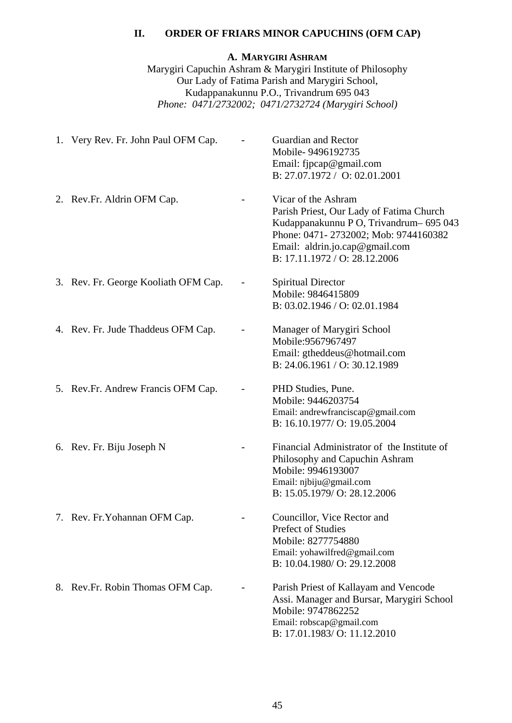### **II. ORDER OF FRIARS MINOR CAPUCHINS (OFM CAP)**

### **A. MARYGIRI ASHRAM**

Marygiri Capuchin Ashram & Marygiri Institute of Philosophy Our Lady of Fatima Parish and Marygiri School, Kudappanakunnu P.O., Trivandrum 695 043 *Phone: 0471/2732002; 0471/2732724 (Marygiri School)* 

| 1. Very Rev. Fr. John Paul OFM Cap.  | Guardian and Rector<br>Mobile-9496192735<br>Email: fipcap@gmail.com<br>B: 27.07.1972 / O: 02.01.2001                                                                                                               |
|--------------------------------------|--------------------------------------------------------------------------------------------------------------------------------------------------------------------------------------------------------------------|
| 2. Rev.Fr. Aldrin OFM Cap.           | Vicar of the Ashram<br>Parish Priest, Our Lady of Fatima Church<br>Kudappanakunnu PO, Trivandrum-695043<br>Phone: 0471-2732002; Mob: 9744160382<br>Email: aldrin.jo.cap@gmail.com<br>B: 17.11.1972 / O: 28.12.2006 |
| 3. Rev. Fr. George Kooliath OFM Cap. | <b>Spiritual Director</b><br>Mobile: 9846415809<br>B: 03.02.1946 / O: 02.01.1984                                                                                                                                   |
| 4. Rev. Fr. Jude Thaddeus OFM Cap.   | Manager of Marygiri School<br>Mobile:9567967497<br>Email: gtheddeus@hotmail.com<br>B: 24.06.1961 / O: 30.12.1989                                                                                                   |
| 5. Rev.Fr. Andrew Francis OFM Cap.   | PHD Studies, Pune.<br>Mobile: 9446203754<br>Email: andrewfranciscap@gmail.com<br>B: 16.10.1977/ O: 19.05.2004                                                                                                      |
| 6. Rev. Fr. Biju Joseph N            | Financial Administrator of the Institute of<br>Philosophy and Capuchin Ashram<br>Mobile: 9946193007<br>Email: njbiju@gmail.com<br>B: 15.05.1979/ O: 28.12.2006                                                     |
| 7. Rev. Fr. Yohannan OFM Cap.        | Councillor, Vice Rector and<br><b>Prefect of Studies</b><br>Mobile: 8277754880<br>Email: yohawilfred@gmail.com<br>B: 10.04.1980/ O: 29.12.2008                                                                     |
| 8. Rev.Fr. Robin Thomas OFM Cap.     | Parish Priest of Kallayam and Vencode<br>Assi. Manager and Bursar, Marygiri School<br>Mobile: 9747862252<br>Email: robscap@gmail.com<br>B: 17.01.1983/ O: 11.12.2010                                               |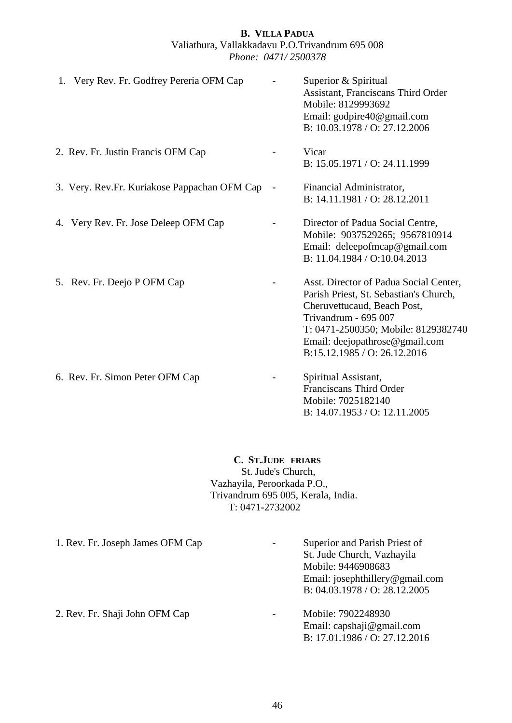### **B. VILLA PADUA** Valiathura, Vallakkadavu P.O.Trivandrum 695 008 *Phone: 0471/ 2500378*

| 1. Very Rev. Fr. Godfrey Pereria OFM Cap     | Superior & Spiritual<br>Assistant, Franciscans Third Order<br>Mobile: 8129993692<br>Email: godpire40@gmail.com<br>B: 10.03.1978 / O: 27.12.2006                                                                                                  |
|----------------------------------------------|--------------------------------------------------------------------------------------------------------------------------------------------------------------------------------------------------------------------------------------------------|
| 2. Rev. Fr. Justin Francis OFM Cap           | Vicar<br>B: 15.05.1971 / O: 24.11.1999                                                                                                                                                                                                           |
| 3. Very. Rev.Fr. Kuriakose Pappachan OFM Cap | Financial Administrator,<br>B: 14.11.1981 / O: 28.12.2011                                                                                                                                                                                        |
| 4. Very Rev. Fr. Jose Deleep OFM Cap         | Director of Padua Social Centre,<br>Mobile: 9037529265; 9567810914<br>Email: deleepofmcap@gmail.com<br>B: 11.04.1984 / O:10.04.2013                                                                                                              |
| 5. Rev. Fr. Deejo P OFM Cap                  | Asst. Director of Padua Social Center,<br>Parish Priest, St. Sebastian's Church,<br>Cheruvettucaud, Beach Post,<br>Trivandrum - 695 007<br>T: 0471-2500350; Mobile: 8129382740<br>Email: deejopathrose@gmail.com<br>B:15.12.1985 / O: 26.12.2016 |
| 6. Rev. Fr. Simon Peter OFM Cap              | Spiritual Assistant,<br>Franciscans Third Order<br>Mobile: 7025182140<br>B: 14.07.1953 / O: 12.11.2005                                                                                                                                           |

### **C. ST.JUDE FRIARS**

St. Jude's Church, Vazhayila, Peroorkada P.O., Trivandrum 695 005, Kerala, India. T: 0471-2732002

1. Rev. Fr. Joseph James OFM Cap - Superior and Parish Priest of St. Jude Church, Vazhayila Mobile: 9446908683 Email: [josephthillery@gmail.com](mailto:josephthillery@gmail.com)  B: 04.03.1978 / O: 28.12.2005 2. Rev. Fr. Shaji John OFM Cap - Mobile: 7902248930 Email: [capshaji@gmail.com](mailto:capshaji@gmail.com)  B: 17.01.1986 / O: 27.12.2016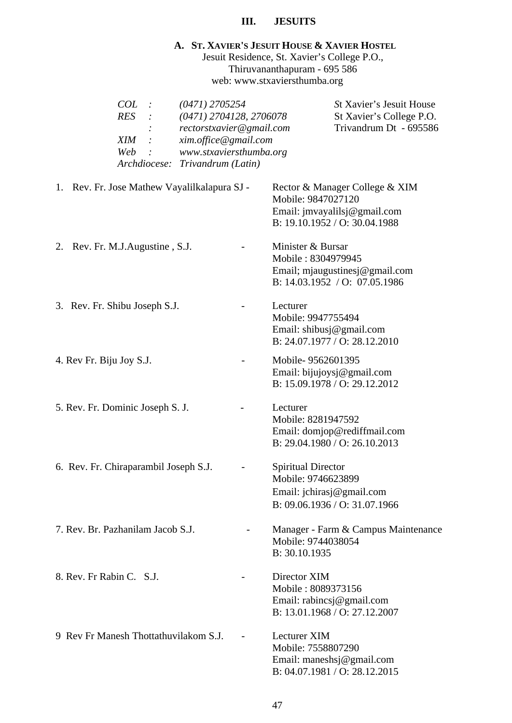### **III. JESUITS**

# **A. ST. XAVIER'S JESUIT HOUSE & XAVIER HOSTEL**

Jesuit Residence, St. Xavier's College P.O., Thiruvananthapuram - 695 586 web: [www.stxaviersthumba.org](http://www.stxaviersthumba.org/) 

| COL<br>$(0471)$ 2705254<br><b>RES</b><br>(0471) 2704128, 2706078<br>rectorstxavier@gmail.com<br>xim.office@gmail.com<br>XIM<br>www.stxaviersthumba.org<br>Web<br>Archdiocese:<br>Trivandrum (Latin) |                                                                                                                       | St Xavier's Jesuit House<br>St Xavier's College P.O.<br>Trivandrum Dt - 695586 |
|-----------------------------------------------------------------------------------------------------------------------------------------------------------------------------------------------------|-----------------------------------------------------------------------------------------------------------------------|--------------------------------------------------------------------------------|
| 1. Rev. Fr. Jose Mathew Vayalilkalapura SJ -                                                                                                                                                        | Rector & Manager College & XIM<br>Mobile: 9847027120<br>Email: jmvayalilsj@gmail.com<br>B: 19.10.1952 / O: 30.04.1988 |                                                                                |
| Rev. Fr. M.J. Augustine, S.J.<br>2.                                                                                                                                                                 | Minister & Bursar<br>Mobile: 8304979945<br>Email; mjaugustinesj@gmail.com<br>B: 14.03.1952 / O: 07.05.1986            |                                                                                |
| 3. Rev. Fr. Shibu Joseph S.J.                                                                                                                                                                       | Lecturer<br>Mobile: 9947755494<br>Email: shibusj@gmail.com<br>B: 24.07.1977 / O: 28.12.2010                           |                                                                                |
| 4. Rev Fr. Biju Joy S.J.                                                                                                                                                                            | Mobile-9562601395<br>Email: bijujoysj@gmail.com<br>B: 15.09.1978 / O: 29.12.2012                                      |                                                                                |
| 5. Rev. Fr. Dominic Joseph S. J.                                                                                                                                                                    | Lecturer<br>Mobile: 8281947592<br>Email: domjop@rediffmail.com<br>B: 29.04.1980 / O: 26.10.2013                       |                                                                                |
| 6. Rev. Fr. Chiraparambil Joseph S.J.                                                                                                                                                               | <b>Spiritual Director</b><br>Mobile: 9746623899<br>Email: jchirasj@gmail.com<br>B: 09.06.1936 / O: 31.07.1966         |                                                                                |
| 7. Rev. Br. Pazhanilam Jacob S.J.                                                                                                                                                                   | Mobile: 9744038054<br>B: 30.10.1935                                                                                   | Manager - Farm & Campus Maintenance                                            |
| 8. Rev. Fr Rabin C. S.J.                                                                                                                                                                            | Director XIM<br>Mobile: 8089373156<br>Email: rabincsj@gmail.com<br>B: 13.01.1968 / O: 27.12.2007                      |                                                                                |
| 9 Rev Fr Manesh Thottathuvilakom S.J.                                                                                                                                                               | <b>Lecturer XIM</b><br>Mobile: 7558807290<br>Email: maneshsj@gmail.com<br>B: 04.07.1981 / O: 28.12.2015               |                                                                                |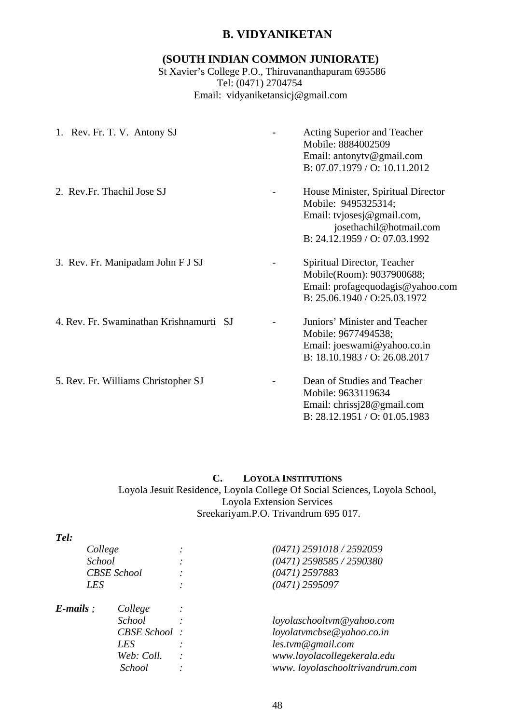### **B. VIDYANIKETAN**

### **(SOUTH INDIAN COMMON JUNIORATE)**

 St Xavier's College P.O., Thiruvananthapuram 695586 Tel: (0471) 2704754 Email: [vidyaniketansicj@gmail.com](mailto:vidyaniketansicj@gmail.com)

| 1. Rev. Fr. T. V. Antony SJ             | Acting Superior and Teacher<br>Mobile: 8884002509<br>Email: antonyty@gmail.com<br>B: 07.07.1979 / O: 10.11.2012                                     |
|-----------------------------------------|-----------------------------------------------------------------------------------------------------------------------------------------------------|
| 2. Rev.Fr. Thachil Jose SJ              | House Minister, Spiritual Director<br>Mobile: 9495325314;<br>Email: tvjosesj@gmail.com,<br>josethachil@hotmail.com<br>B: 24.12.1959 / O: 07.03.1992 |
| 3. Rev. Fr. Manipadam John F J SJ       | Spiritual Director, Teacher<br>Mobile(Room): 9037900688;<br>Email: profagequodagis@yahoo.com<br>B: 25.06.1940 / O:25.03.1972                        |
| 4. Rev. Fr. Swaminathan Krishnamurti SJ | Juniors' Minister and Teacher<br>Mobile: 9677494538;<br>Email: joeswami@yahoo.co.in<br>B: 18.10.1983 / O: 26.08.2017                                |
| 5. Rev. Fr. Williams Christopher SJ     | Dean of Studies and Teacher<br>Mobile: 9633119634<br>Email: chrissi28@gmail.com<br>B: 28.12.1951 / O: 01.05.1983                                    |

### **C. LOYOLA INSTITUTIONS** Loyola Jesuit Residence, Loyola College Of Social Sciences, Loyola School, Loyola Extension Services

Sreekariyam.P.O. Trivandrum 695 017.

| College<br><b>School</b><br><b>CBSE</b> School |                     | $(0471)$ 2591018 / 2592059     |
|------------------------------------------------|---------------------|--------------------------------|
|                                                |                     | (0471) 2598585 / 2590380       |
|                                                |                     | $(0471)$ 2597883               |
| LES                                            |                     | $(0471)$ 2595097               |
| $E$ -mails :                                   | College             |                                |
|                                                | <b>School</b>       | loyolaschooltvm@yahoo.com      |
|                                                | <b>CBSE</b> School: | loyolatvmcbse@yahoo.co.in      |
|                                                | LES                 | $les.$ tvm $@gmail.com$        |
|                                                | Web: Coll.          | www.loyolacollegekerala.edu    |
|                                                | School              | www.loyolaschooltrivandrum.com |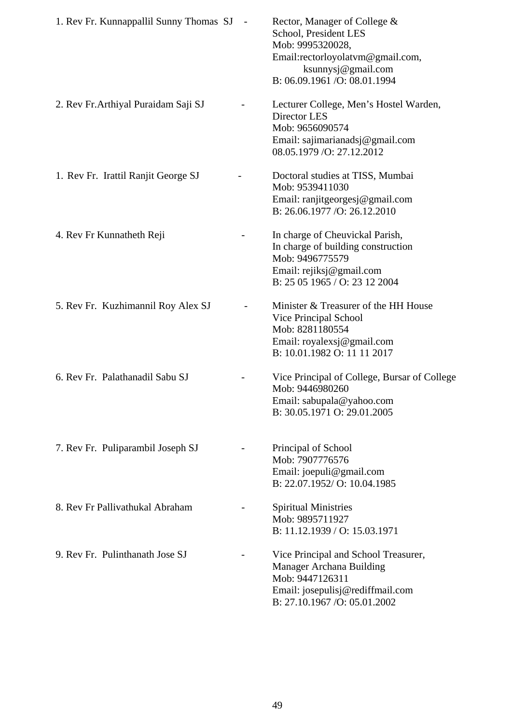| 1. Rev Fr. Kunnappallil Sunny Thomas SJ | Rector, Manager of College &<br>School, President LES<br>Mob: 9995320028,<br>Email:rectorloyolatvm@gmail.com,<br>ksunnysj@gmail.com<br>B: 06.09.1961 / O: 08.01.1994 |
|-----------------------------------------|----------------------------------------------------------------------------------------------------------------------------------------------------------------------|
| 2. Rev Fr. Arthiyal Puraidam Saji SJ    | Lecturer College, Men's Hostel Warden,<br>Director LES<br>Mob: 9656090574<br>Email: sajimarianadsj@gmail.com<br>08.05.1979 / O: 27.12.2012                           |
| 1. Rev Fr. Irattil Ranjit George SJ     | Doctoral studies at TISS, Mumbai<br>Mob: 9539411030<br>Email: ranjitgeorgesj@gmail.com<br>B: 26.06.1977 / O: 26.12.2010                                              |
| 4. Rev Fr Kunnatheth Reji               | In charge of Cheuvickal Parish,<br>In charge of building construction<br>Mob: 9496775579<br>Email: rejiksj@gmail.com<br>B: 25 05 1965 / O: 23 12 2004                |
| 5. Rev Fr. Kuzhimannil Roy Alex SJ      | Minister & Treasurer of the HH House<br>Vice Principal School<br>Mob: 8281180554<br>Email: royalexsj@gmail.com<br>B: 10.01.1982 O: 11 11 2017                        |
| 6. Rev Fr. Palathanadil Sabu SJ         | Vice Principal of College, Bursar of College<br>Mob: 9446980260<br>Email: sabupala@yahoo.com<br>B: 30.05.1971 O: 29.01.2005                                          |
| 7. Rev Fr. Puliparambil Joseph SJ       | Principal of School<br>Mob: 7907776576<br>Email: joepuli@gmail.com<br>B: 22.07.1952/ O: 10.04.1985                                                                   |
| 8. Rev Fr Pallivathukal Abraham         | <b>Spiritual Ministries</b><br>Mob: 9895711927<br>B: 11.12.1939 / O: 15.03.1971                                                                                      |
| 9. Rev Fr. Pulinthanath Jose SJ         | Vice Principal and School Treasurer,<br>Manager Archana Building<br>Mob: 9447126311<br>Email: josepulisj@rediffmail.com<br>B: 27.10.1967 /O: 05.01.2002              |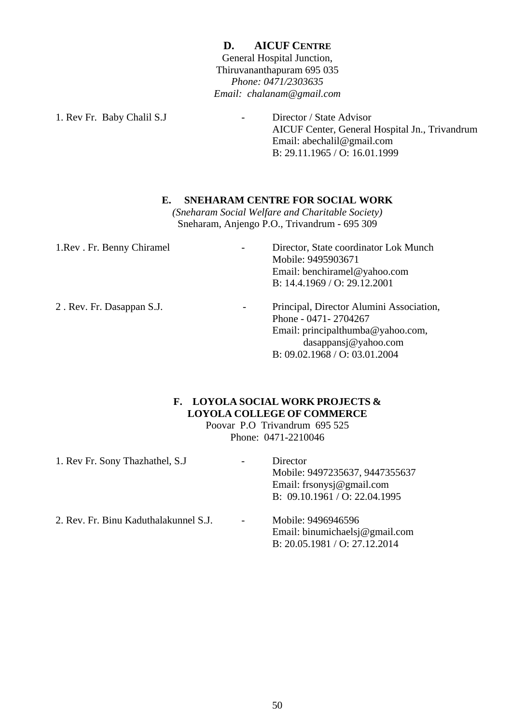**D. AICUF CENTRE** General Hospital Junction, Thiruvananthapuram 695 035 *Phone: 0471/2303635 Email: chalanam@gmail.com* 

1. Rev Fr. Baby Chalil S.J - Director / State Advisor

 AICUF Center, General Hospital Jn., Trivandrum Email: abechalil@gmail.com B: 29.11.1965 / O: 16.01.1999

### **E. SNEHARAM CENTRE FOR SOCIAL WORK**

*(Sneharam Social Welfare and Charitable Society)*  Sneharam, Anjengo P.O., Trivandrum - 695 309

| 1. Rev. Fr. Benny Chiramel | Director, State coordinator Lok Munch<br>Mobile: 9495903671<br>Email: benchiramel@yahoo.com<br>B: 14.4.1969 / O: 29.12.2001                                                                |
|----------------------------|--------------------------------------------------------------------------------------------------------------------------------------------------------------------------------------------|
| 2. Rev. Fr. Dasappan S.J.  | Principal, Director Alumini Association,<br>$\overline{\phantom{a}}$<br>Phone - 0471-2704267<br>Email: principalthumba@yahoo.com,<br>dasappansj@yahoo.com<br>B: 09.02.1968 / O: 03.01.2004 |

### **F. LOYOLA SOCIAL WORK PROJECTS & LOYOLA COLLEGE OF COMMERCE**

Poovar P.O Trivandrum 695 525 Phone: 0471-2210046

| 1. Rev Fr. Sony Thazhathel, S.J.      | Director<br>Mobile: 9497235637, 9447355637<br>Email: frsonysj@gmail.com<br>B: $09.10.1961 / O: 22.04.1995$ |
|---------------------------------------|------------------------------------------------------------------------------------------------------------|
| 2. Rev. Fr. Binu Kaduthalakunnel S.J. | Mobile: 9496946596<br>Email: binumichaelsj@gmail.com<br>B: 20.05.1981 / O: 27.12.2014                      |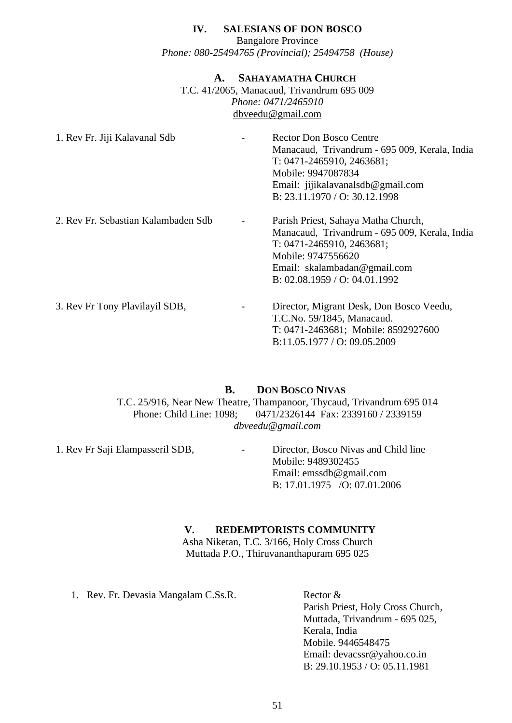### **IV. SALESIANS OF DON BOSCO**

Bangalore Province *Phone: 080-25494765 (Provincial); 25494758 (House)* 

### **A. SAHAYAMATHA CHURCH**

T.C. 41/2065, Manacaud, Trivandrum 695 009 *Phone: 0471/2465910*  [dbveedu@gmail.com](mailto:dbveedu@gmail.com)

| 1. Rev Fr. Jiji Kalavanal Sdb       | <b>Rector Don Bosco Centre</b><br>Manacaud, Trivandrum - 695 009, Kerala, India<br>$T: 0471 - 2465910, 2463681;$<br>Mobile: 9947087834<br>Email: jijikalavanalsdb@gmail.com<br>B: 23.11.1970 / O: 30.12.1998 |
|-------------------------------------|--------------------------------------------------------------------------------------------------------------------------------------------------------------------------------------------------------------|
| 2. Rev Fr. Sebastian Kalambaden Sdb | Parish Priest, Sahaya Matha Church,<br>Manacaud, Trivandrum - 695 009, Kerala, India<br>$T: 0471 - 2465910, 2463681;$<br>Mobile: 9747556620<br>Email: skalambadan@gmail.com<br>B: 02.08.1959 / O: 04.01.1992 |
| 3. Rev Fr Tony Plavilayil SDB,      | Director, Migrant Desk, Don Bosco Veedu,<br>T.C.No. 59/1845, Manacaud.<br>T: 0471-2463681; Mobile: 8592927600<br>B:11.05.1977 / O: 09.05.2009                                                                |

### **B. DON BOSCO NIVAS** T.C. 25/916, Near New Theatre, Thampanoor, Thycaud, Trivandrum 695 014 Phone: Child Line: 1098; 0471/2326144 Fax: 2339160 / 2339159 *[dbveedu@gmail.com](mailto:dbveedu@satyam.net.in)*

1. Rev Fr Saji Elampasseril SDB, - Director, Bosco Nivas and Child line Mobile: 9489302455 Email: emssdb@gmail.com B: 17.01.1975 /O: 07.01.2006

### **V. REDEMPTORISTS COMMUNITY**

Asha Niketan, T.C. 3/166, Holy Cross Church Muttada P.O., Thiruvananthapuram 695 025

1. Rev. Fr. Devasia Mangalam C.Ss.R. Rector &

Parish Priest, Holy Cross Church, Muttada, Trivandrum - 695 025, Kerala, India Mobile. 9446548475 Email: [devacssr@yahoo.co.in](mailto:devacssr@yahoo.co.in)  B: 29.10.1953 / O: 05.11.1981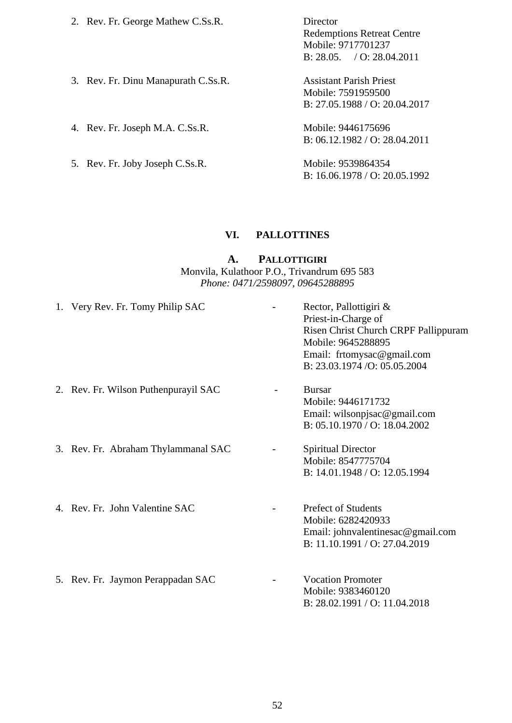| 2. Rev. Fr. George Mathew C.Ss.R.   | Director                          |
|-------------------------------------|-----------------------------------|
|                                     | <b>Redemptions Retreat Centre</b> |
|                                     | Mobile: 9717701237                |
|                                     | B: 28.05. / O: 28.04.2011         |
| 3. Rev. Fr. Dinu Manapurath C.Ss.R. | <b>Assistant Parish Priest</b>    |
|                                     | Mobile: 7591959500                |
|                                     | B: 27.05.1988 / O: 20.04.2017     |
| 4. Rev. Fr. Joseph M.A. C.Ss.R.     | Mobile: 9446175696                |
|                                     | B: $06.12.1982 / O$ : 28.04.2011  |
| 5. Rev. Fr. Joby Joseph C.Ss.R.     | Mobile: 9539864354                |
|                                     | B: $16.06.1978 / O: 20.05.1992$   |

### **VI. PALLOTTINES**

### **A. PALLOTTIGIRI**

### Monvila, Kulathoor P.O., Trivandrum 695 583 *Phone: 0471/2598097, 09645288895*

| 1. Very Rev. Fr. Tomy Philip SAC     | Rector, Pallottigiri &<br>Priest-in-Charge of<br>Risen Christ Church CRPF Pallippuram<br>Mobile: 9645288895<br>Email: frtomysac@gmail.com<br>B: 23.03.1974 / O: 05.05.2004 |
|--------------------------------------|----------------------------------------------------------------------------------------------------------------------------------------------------------------------------|
| 2. Rev. Fr. Wilson Puthenpurayil SAC | <b>Bursar</b><br>Mobile: 9446171732<br>Email: wilsonpjsac@gmail.com<br>B: 05.10.1970 / O: 18.04.2002                                                                       |
| 3. Rev. Fr. Abraham Thylammanal SAC  | <b>Spiritual Director</b><br>Mobile: 8547775704<br>B: 14.01.1948 / O: 12.05.1994                                                                                           |
| 4. Rev. Fr. John Valentine SAC       | <b>Prefect of Students</b><br>Mobile: 6282420933<br>Email: johnvalentinesac@gmail.com<br>B: 11.10.1991 / O: 27.04.2019                                                     |
| 5. Rev. Fr. Jaymon Perappadan SAC    | <b>Vocation Promoter</b><br>Mobile: 9383460120<br>B: 28.02.1991 / O: 11.04.2018                                                                                            |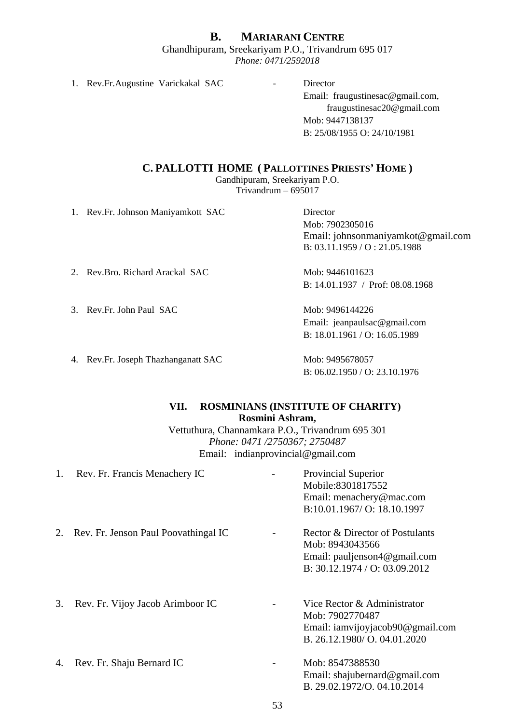# **B. MARIARANI CENTRE** Ghandhipuram, Sreekariyam P.O., Trivandrum 695 017

*Phone: 0471/2592018* 

1. Rev.Fr.Augustine Varickakal SAC - Director

Email: [fraugustinesac@gmail.com,](mailto:fraugustinesac@gmail.com) [fraugustinesac20@gmail.com](mailto:fraugustinesac20@gmail.com)  Mob: 9447138137 B: 25/08/1955 O: 24/10/1981

### **C. PALLOTTI HOME ( PALLOTTINES PRIESTS' HOME )**

Gandhipuram, Sreekariyam P.O.

Trivandrum – 695017

1. Rev.Fr. Johnson Maniyamkott SAC Director

Mob: 7902305016 Email: [johnsonmaniyamkot@gmail.com](mailto:johnsonmaniyamkot@gmail.com)  B: 03.11.1959 / O : 21.05.1988

2. Rev.Bro. Richard Arackal SAC Mob: 9446101623

3. Rev.Fr. John Paul SAC Mob: 9496144226

4. Rev.Fr. Joseph Thazhanganatt SAC Mob: 9495678057

B: 14.01.1937 / Prof: 08.08.1968

Email: [jeanpaulsac@gmail.com](mailto:jeanpaulsac@gmail.com)  B: 18.01.1961 / O: 16.05.1989

B: 06.02.1950 / O: 23.10.1976

### **VII. ROSMINIANS (INSTITUTE OF CHARITY) Rosmini Ashram,**

Vettuthura, Channamkara P.O., Trivandrum 695 301 *Phone: 0471 /2750367; 2750487*  Email: indianprovincial@gmail.com

| 1. | Rev. Fr. Francis Menachery IC        | <b>Provincial Superior</b><br>Mobile:8301817552<br>Email: menachery@mac.com<br>B:10.01.1967/O: 18.10.1997           |
|----|--------------------------------------|---------------------------------------------------------------------------------------------------------------------|
| 2. | Rev. Fr. Jenson Paul Poovathingal IC | Rector & Director of Postulants<br>Mob: 8943043566<br>Email: pauljenson4@gmail.com<br>B: 30.12.1974 / O: 03.09.2012 |
| 3. | Rev. Fr. Vijoy Jacob Arimboor IC     | Vice Rector & Administrator<br>Mob: 7902770487<br>Email: iamvijoyjacob90@gmail.com<br>B. 26.12.1980/ O. 04.01.2020  |
| 4. | Rev. Fr. Shaju Bernard IC            | Mob: 8547388530<br>Email: shajubernard@gmail.com<br>B. 29.02.1972/O. 04.10.2014                                     |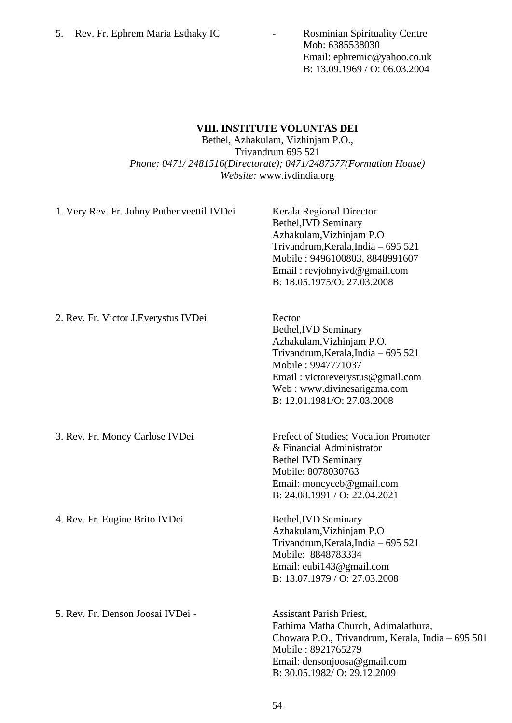Mob: 6385538030 Email: [ephremic@yahoo.co.uk](mailto:ephremic@yahoo.co.uk)  B: 13.09.1969 / O: 06.03.2004

### **VIII. INSTITUTE VOLUNTAS DEI**

Bethel, Azhakulam, Vizhinjam P.O., Trivandrum 695 521 *Phone: 0471/ 2481516(Directorate); 0471/2487577(Formation House) Website:* [www.ivdindia.org](http://www.ivdindia.org/) 

| 1. Very Rev. Fr. Johny Puthenveettil IVDei | Kerala Regional Director<br>Bethel, IVD Seminary<br>Azhakulam, Vizhinjam P.O<br>Trivandrum, Kerala, India - 695 521<br>Mobile: 9496100803, 8848991607<br>Email: revjohnyivd@gmail.com<br>B: 18.05.1975/O: 27.03.2008              |
|--------------------------------------------|-----------------------------------------------------------------------------------------------------------------------------------------------------------------------------------------------------------------------------------|
| 2. Rev. Fr. Victor J. Everystus IVDei      | Rector<br>Bethel, <b>IVD</b> Seminary<br>Azhakulam, Vizhinjam P.O.<br>Trivandrum, Kerala, India - 695 521<br>Mobile: 9947771037<br>Email: victoreverystus@gmail.com<br>Web: www.divinesarigama.com<br>B: 12.01.1981/O: 27.03.2008 |
| 3. Rev. Fr. Moncy Carlose IVDei            | Prefect of Studies; Vocation Promoter<br>& Financial Administrator<br><b>Bethel IVD Seminary</b><br>Mobile: 8078030763<br>Email: moncyceb@gmail.com<br>B: 24.08.1991 / O: 22.04.2021                                              |
| 4. Rev. Fr. Eugine Brito IVDei             | Bethel, IVD Seminary<br>Azhakulam, Vizhinjam P.O<br>Trivandrum, Kerala, India - 695 521<br>Mobile: 8848783334<br>Email: eubi143@gmail.com<br>B: 13.07.1979 / O: 27.03.2008                                                        |
| 5. Rev. Fr. Denson Joosai IVDei -          | <b>Assistant Parish Priest,</b><br>Fathima Matha Church, Adimalathura,<br>Chowara P.O., Trivandrum, Kerala, India – 695 501<br>Mobile: 8921765279<br>Email: densonjoosa@gmail.com<br>B: 30.05.1982/O: 29.12.2009                  |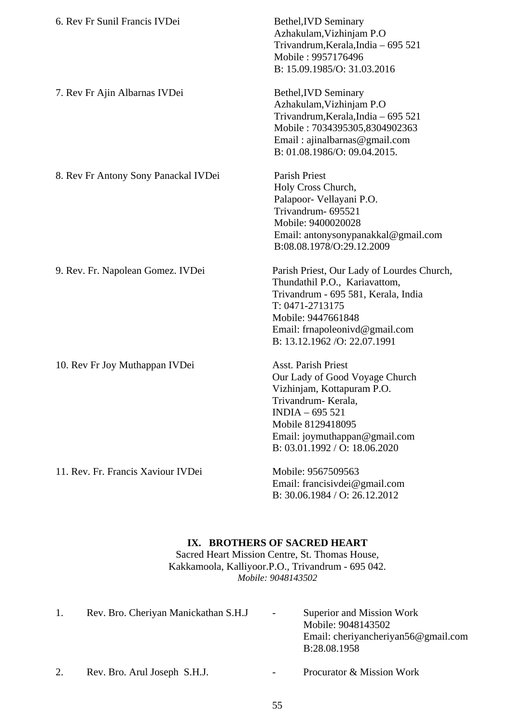| 6. Rev Fr Sunil Francis IVDei        | Bethel, <b>IVD</b> Seminary<br>Azhakulam, Vizhinjam P.O<br>Trivandrum, Kerala, India - 695 521<br>Mobile: 9957176496<br>B: 15.09.1985/O: 31.03.2016                                                                            |
|--------------------------------------|--------------------------------------------------------------------------------------------------------------------------------------------------------------------------------------------------------------------------------|
| 7. Rev Fr Ajin Albarnas IVDei        | Bethel, IVD Seminary<br>Azhakulam, Vizhinjam P.O<br>Trivandrum, Kerala, India - 695 521<br>Mobile: 7034395305,8304902363<br>Email: ajinalbarnas@gmail.com<br>B: 01.08.1986/O: 09.04.2015.                                      |
| 8. Rev Fr Antony Sony Panackal IVDei | Parish Priest<br>Holy Cross Church,<br>Palapoor- Vellayani P.O.<br>Trivandrum- 695521<br>Mobile: 9400020028<br>Email: antonysonypanakkal@gmail.com<br>B:08.08.1978/O:29.12.2009                                                |
| 9. Rev. Fr. Napolean Gomez. IVDei    | Parish Priest, Our Lady of Lourdes Church,<br>Thundathil P.O., Kariavattom,<br>Trivandrum - 695 581, Kerala, India<br>T: 0471-2713175<br>Mobile: 9447661848<br>Email: frnapoleonivd@gmail.com<br>B: 13.12.1962 / O: 22.07.1991 |
| 10. Rev Fr Joy Muthappan IVDei       | <b>Asst. Parish Priest</b><br>Our Lady of Good Voyage Church<br>Vizhinjam, Kottapuram P.O.<br>Trivandrum-Kerala,<br>$INDIA - 695 521$<br>Mobile 8129418095<br>Email: joymuthappan@gmail.com<br>B: 03.01.1992 / O: 18.06.2020   |
| 11. Rev. Fr. Francis Xaviour IVDei   | Mobile: 9567509563<br>Email: francisivdei@gmail.com<br>B: 30.06.1984 / O: 26.12.2012                                                                                                                                           |

### **IX. BROTHERS OF SACRED HEART**

Sacred Heart Mission Centre, St. Thomas House, Kakkamoola, Kalliyoor.P.O., Trivandrum - 695 042. *Mobile: 9048143502* 

| Rev. Bro. Cheriyan Manickathan S.H.J | $\sim$                   | Superior and Mission Work<br>Mobile: 9048143502<br>Email: cheriyancheriyan56@gmail.com<br>B:28.08.1958 |
|--------------------------------------|--------------------------|--------------------------------------------------------------------------------------------------------|
| Rev. Bro. Arul Joseph S.H.J.         | $\overline{\phantom{a}}$ | Procurator & Mission Work                                                                              |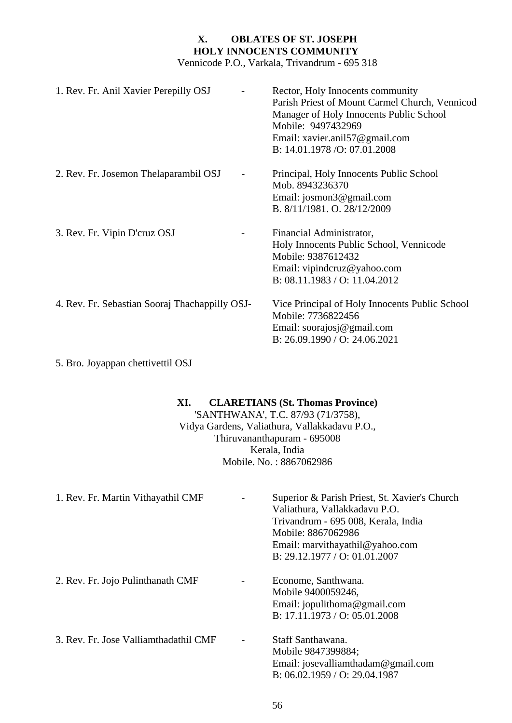# **X. OBLATES OF ST. JOSEPH HOLY INNOCENTS COMMUNITY**

Vennicode P.O., Varkala, Trivandrum - 695 318

| 1. Rev. Fr. Anil Xavier Perepilly OSJ          | Rector, Holy Innocents community<br>Parish Priest of Mount Carmel Church, Vennicod<br>Manager of Holy Innocents Public School<br>Mobile: 9497432969<br>Email: xavier.anil57@gmail.com<br>B: 14.01.1978 / O: 07.01.2008 |
|------------------------------------------------|------------------------------------------------------------------------------------------------------------------------------------------------------------------------------------------------------------------------|
| 2. Rev. Fr. Josemon Thelaparambil OSJ          | Principal, Holy Innocents Public School<br>Mob. 8943236370<br>Email: josmon $3@$ gmail.com<br>B. 8/11/1981. O. 28/12/2009                                                                                              |
| 3. Rev. Fr. Vipin D'cruz OSJ                   | Financial Administrator,<br>Holy Innocents Public School, Vennicode<br>Mobile: 9387612432<br>Email: vipindcruz@yahoo.com<br>B: 08.11.1983 / O: 11.04.2012                                                              |
| 4. Rev. Fr. Sebastian Sooraj Thachappilly OSJ- | Vice Principal of Holy Innocents Public School<br>Mobile: 7736822456<br>Email: soorajosj@gmail.com<br>B: 26.09.1990 / O: 24.06.2021                                                                                    |

5. Bro. Joyappan chettivettil OSJ

### **XI. CLARETIANS (St. Thomas Province)**

'SANTHWANA', T.C. 87/93 (71/3758), Vidya Gardens, Valiathura, Vallakkadavu P.O., Thiruvananthapuram - 695008 Kerala, India Mobile. No. : 8867062986

| 1. Rev. Fr. Martin Vithayathil CMF    | Superior & Parish Priest, St. Xavier's Church<br>Valiathura, Vallakkadavu P.O.<br>Trivandrum - 695 008, Kerala, India<br>Mobile: 8867062986<br>Email: marvithayathil@yahoo.com<br>B: 29.12.1977 / O: 01.01.2007 |
|---------------------------------------|-----------------------------------------------------------------------------------------------------------------------------------------------------------------------------------------------------------------|
| 2. Rev. Fr. Jojo Pulinthanath CMF     | Econome, Santhwana.<br>Mobile 9400059246,<br>Email: jopulithoma@gmail.com<br>B: 17.11.1973 / O: 05.01.2008                                                                                                      |
| 3. Rev. Fr. Jose Valliamthadathil CMF | Staff Santhawana.<br>Mobile 9847399884;<br>Email: josevalliamthadam@gmail.com<br>B: 06.02.1959 / O: 29.04.1987                                                                                                  |